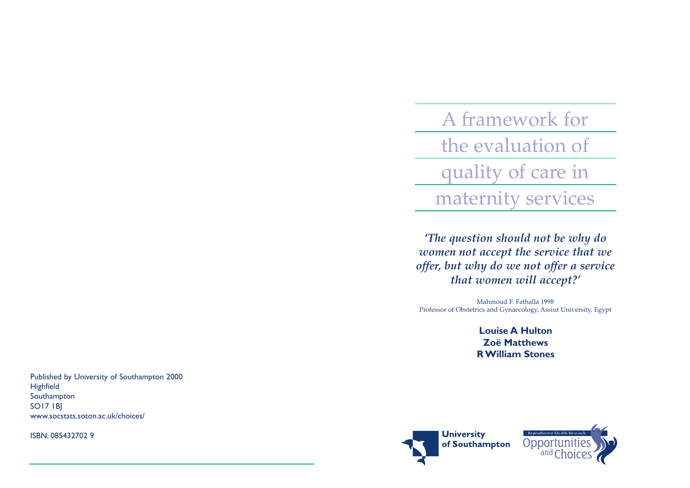A framework for the evaluation of quality of care in maternity services

*'The question should not be why do women not accept the service that we offer, but why do we not offer a service that women will accept?'*

Mahmoud F. Fathalla 1998 Professor of Obstetrics and Gynaecology, Assiut University, Egypt

> **Louise A Hulton Zoë MatthewsR William Stones**



ISBN: 085432702 9



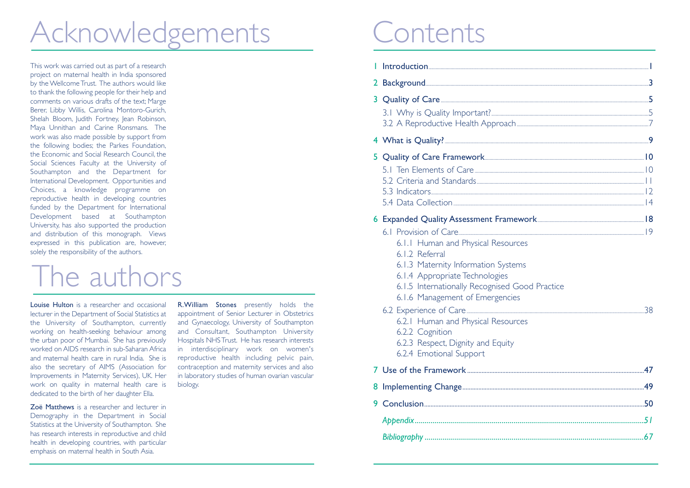# Acknowledgements Contents

This work was carried out as part of a research project on maternal health in India sponsored by the Wellcome Trust. The authors would like to thank the following people for their help and comments on various drafts of the text; Marge Berer, Libby Willis, Carolina Montoro-Gurich, Shelah Bloom, Judith Fortney, Jean Robinson, Maya Unnithan and Carine Ronsmans. The work was also made possible by support from the following bodies; the Parkes Foundation, the Economic and Social Research Council, the Social Sciences Faculty at the University of Southampton and the Department for International Development. Opportunities and Choices, a knowledge programme on reproductive health in developing countries funded by the Department for International Development based at Southampton University, has also supported the production and distribution of this monograph. Views expressed in this publication are, however, solely the responsibility of the authors.

# The authors

**Louise Hulton** is a researcher and occasional lecturer in the Department of Social Statistics at the University of Southampton, currently working on health-seeking behaviour among the urban poor of Mumbai. She has previously worked on AIDS research in sub-Saharan Africaand maternal health care in rural India. She isalso the secretary of AIMS (Association for Improvements in Maternity Services), UK. Her work on quality in maternal health care is dedicated to the birth of her daughter Ella.

Zoë Matthews is a researcher and lecturer inDemography in the Department in Social Statistics at the University of Southampton. She has research interests in reproductive and child health in developing countries, with particular emphasis on maternal health in South Asia.

**R.William Stones** presently holds the appointment of Senior Lecturer in Obstetrics and Gynaecology, University of Southampton and Consultant, Southampton University Hospitals NHS Trust. He has research interests in interdisciplinary work on women's reproductive health including pelvic pain, contraception and maternity services and also in laboratory studies of human ovarian vascular biology.

|    | 2 Background 3                                                                                                                                                                                                                                                              |  |
|----|-----------------------------------------------------------------------------------------------------------------------------------------------------------------------------------------------------------------------------------------------------------------------------|--|
| 3  | Quality of Care                                                                                                                                                                                                                                                             |  |
|    |                                                                                                                                                                                                                                                                             |  |
|    | 5 Quality of Care Framework 10<br>5.1 Ten Elements of Care                                                                                                                                                                                                                  |  |
|    | 6.1.1 Human and Physical Resources<br>6.1.2 Referral<br>6.1.3 Maternity Information Systems<br>6.1.4 Appropriate Technologies<br>6.1.5 Internationally Recognised Good Practice<br>6.1.6 Management of Emergencies<br>6.2.1 Human and Physical Resources<br>6.2.2 Cognition |  |
|    | 6.2.3 Respect, Dignity and Equity<br>6.2.4 Emotional Support                                                                                                                                                                                                                |  |
|    |                                                                                                                                                                                                                                                                             |  |
|    |                                                                                                                                                                                                                                                                             |  |
| 9. |                                                                                                                                                                                                                                                                             |  |
|    |                                                                                                                                                                                                                                                                             |  |
|    |                                                                                                                                                                                                                                                                             |  |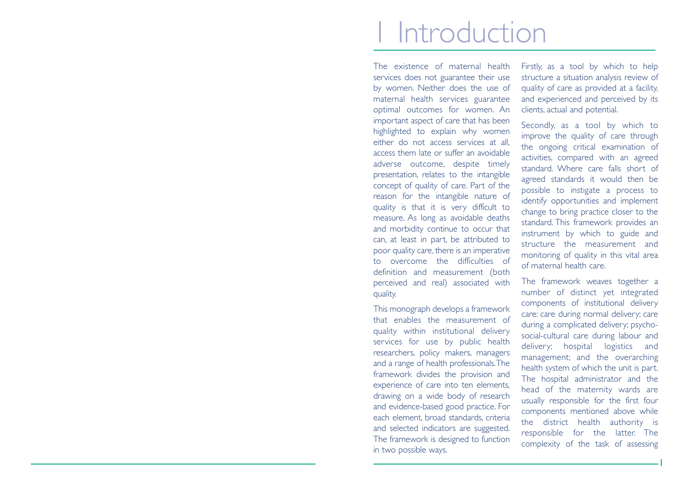# 1 Introduction

The existence of maternal healthservices does not guarantee their use by women. Neither does the use of maternal health services guarantee optimal outcomes for women. An important aspect of care that has been highlighted to explain why women either do not access services at all, access them late or suffer an avoidableadverse outcome, despite timely presentation, relates to the intangible concept of quality of care. Part of the reason for the intangible nature of quality is that it is very difficult to measure. As long as avoidable deaths and morbidity continue to occur that can, at least in part, be attributed to poor quality care, there is an imperative to overcome the difficulties ofdefinition and measurement (both perceived and real) associated with quality.

This monograph develops a framework that enables the measurement of quality within institutional delivery services for use by public health researchers, policy makers, managers and a range of health professionals.The framework divides the provision and experience of care into ten elements, drawing on a wide body of research and evidence-based good practice. For each element, broad standards, criteria and selected indicators are suggested. The framework is designed to function in two possible ways.

Firstly, as a tool by which to help structure a situation analysis review of quality of care as provided at a facility, and experienced and perceived by its clients, actual and potential.

Secondly, as a tool by which to improve the quality of care through the ongoing critical examination of activities, compared with an agreed standard. Where care falls short ofagreed standards it would then be possible to instigate a process to identify opportunities and implement change to bring practice closer to the standard. This framework provides an instrument by which to guide and structure the measurement andmonitoring of quality in this vital area of maternal health care.

The framework weaves together a number of distinct yet integrated components of institutional delivery care: care during normal delivery; care during a complicated delivery; psychosocial-cultural care during labour and delivery; hospital logistics and management; and the overarching health system of which the unit is part. The hospital administrator and the head of the maternity wards are usually responsible for the first four components mentioned above while the district health authority is responsible for the latter. The complexity of the task of assessing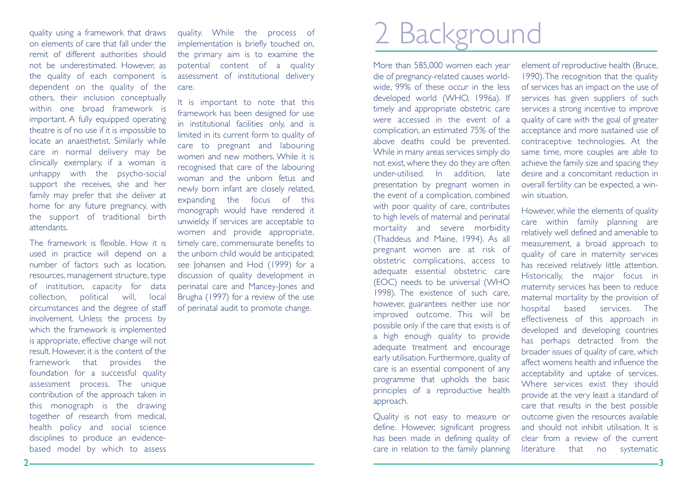quality using a framework that draws on elements of care that fall under theremit of different authorities shouldnot be underestimated. However, as the quality of each component is dependent on the quality of the others, their inclusion conceptually within one broad framework isimportant. A fully equipped operating theatre is of no use if it is impossible to locate an anaesthetist. Similarly while care in normal delivery may be clinically exemplary, if a woman is unhappy with the psycho-social support she receives, she and her family may prefer that she deliver at home for any future pregnancy, with the support of traditional birth attendants.

The framework is flexible. How it is used in practice will depend on a number of factors such as location, resources, management structure, type of institution, capacity for data collection, political will, local circumstances and the degree of staff involvement. Unless the process by which the framework is implemented is appropriate, effective change will not result. However it is the content of the framework that provides the foundation for a successful quality assessment process. The unique contribution of the approach taken in this monograph is the drawing together of research from medical, health policy and social science disciplines to produce an evidencebased model by which to assess

quality. While the process of implementation is briefly touched on, the primary aim is to examine the potential content of a quality assessment of institutional delivery care.

It is important to note that this framework has been designed for use in institutional facilities only, and is limited in its current form to quality of care to pregnant and labouring women and new mothers. While it isrecognised that care of the labouring woman and the unborn fetus andnewly born infant are closely related, expanding the focus of this monograph would have rendered it unwieldy. If services are acceptable to women and provide appropriate, timely care, commensurate benefits to the unborn child would be anticipated; see Johansen and Hod (1999) for a discussion of quality development in perinatal care and Mancey-Jones and Brugha (1997) for a review of the use of perinatal audit to promote change.

# 2 Background

More than 585,000 women each year die of pregnancy-related causes worldwide, 99% of these occur in the less developed world (WHO, 1996a). If timely and appropriate obstetric care were accessed in the event of acomplication, an estimated 75% of the above deaths could be prevented. While in many areas services simply do not exist, where they do they are often under-utilised. In addition, late presentation by pregnant women in the event of a complication, combined with poor quality of care, contributes to high levels of maternal and perinatal mortality and severe morbidity (Thaddeus and Maine, 1994). As all pregnant women are at risk of obstetric complications, access to adequate essential obstetric care (EOC) needs to be universal (WHO 1998). The existence of such care, however, guarantees neither use nor improved outcome. This will be possible only if the care that exists is of a high enough quality to provide adequate treatment and encourage early utilisation. Furthermore, quality of care is an essential component of any programme that upholds the basic principles of a reproductive health approach.

Quality is not easy to measure or define. However, significant progress has been made in defining quality of care in relation to the family planning element of reproductive health (Bruce, 1990).The recognition that the quality of services has an impact on the use of services has given suppliers of such services a strong incentive to improve quality of care with the goal of greater acceptance and more sustained use of contraceptive technologies. At the same time, more couples are able to achieve the family size and spacing they desire and a concomitant reduction inoverall fertility can be expected, a winwin situation.

However, while the elements of quality care within family planning are relatively well defined and amenable to measurement, a broad approach to quality of care in maternity services has received relatively little attention. Historically, the major focus in maternity services has been to reduce maternal mortality by the provision of hospital based services. The effectiveness of this approach in developed and developing countries has perhaps detracted from the broader issues of quality of care, which affect womens health and influence theacceptability and uptake of services. Where services exist they should provide at the very least a standard of care that results in the best possible outcome given the resources available and should not inhibit utilisation. It isclear from a review of the currentliterature that no systematic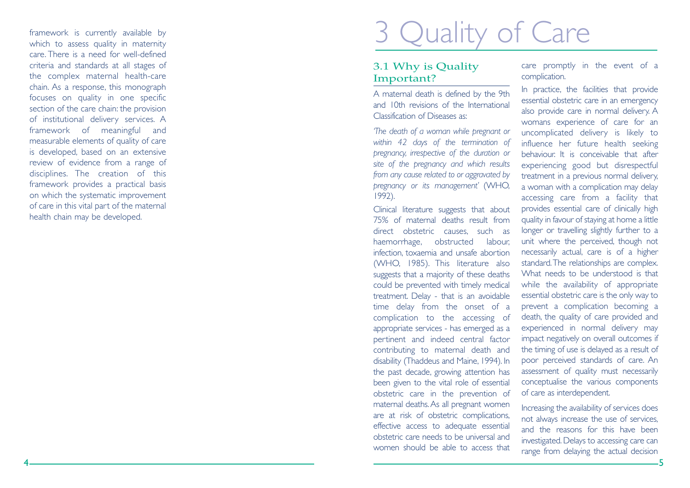framework is currently available by which to assess quality in maternity care. There is a need for well-definedcriteria and standards at all stages of the complex maternal health-care chain. As a response, this monograph focuses on quality in one specific section of the care chain: the provision of institutional delivery services. A framework of meaningful and measurable elements of quality of care is developed, based on an extensive review of evidence from a range of disciplines. The creation of this framework provides a practical basis on which the systematic improvement of care in this vital part of the maternal health chain may be developed.

# 3 Quality of Care

### 3.1 Why is Quality Important?

A maternal death is defined by the 9th and 10th revisions of the InternationalClassification of Diseases as:

*'The death of a woman while pregnant or within 42 days of the termination of pregnancy, irrespective of the duration or site of the pregnancy and which results from any cause related to or aggravated by pregnancy or its management'* (WHO, 1992).

Clinical literature suggests that about 75% of maternal deaths result fromdirect obstetric causes, such as haemorrhage, obstructed labour, infection, toxaemia and unsafe abortion (WHO, 1985). This literature also suggests that a majority of these deaths could be prevented with timely medical treatment. Delay - that is an avoidable time delay from the onset of a complication to the accessing of appropriate services - has emerged as a pertinent and indeed central factor contributing to maternal death and disability (Thaddeus and Maine, 1994). In the past decade, growing attention has been given to the vital role of essential obstetric care in the prevention of maternal deaths. As all pregnant women are at risk of obstetric complications, effective access to adequate essential obstetric care needs to be universal andwomen should be able to access that

care promptly in the event of a complication.

In practice, the facilities that provide essential obstetric care in an emergency also provide care in normal delivery. A womans experience of care for an uncomplicated delivery is likely to influence her future health seeking behaviour. It is conceivable that afterexperiencing good but disrespectful treatment in a previous normal delivery, a woman with a complication may delay accessing care from a facility that provides essential care of clinically high quality in favour of staying at home a little longer or travelling slightly further to a unit where the perceived, though not necessarily actual, care is of a higher standard.The relationships are complex. What needs to be understood is thatwhile the availability of appropriate essential obstetric care is the only way to prevent a complication becoming a death, the quality of care provided and experienced in normal delivery may impact negatively on overall outcomes if the timing of use is delayed as a result of poor perceived standards of care. An assessment of quality must necessarily conceptualise the various components of care as interdependent.

Increasing the availability of services does not always increase the use of services, and the reasons for this have beeninvestigated. Delays to accessing care can range from delaying the actual decision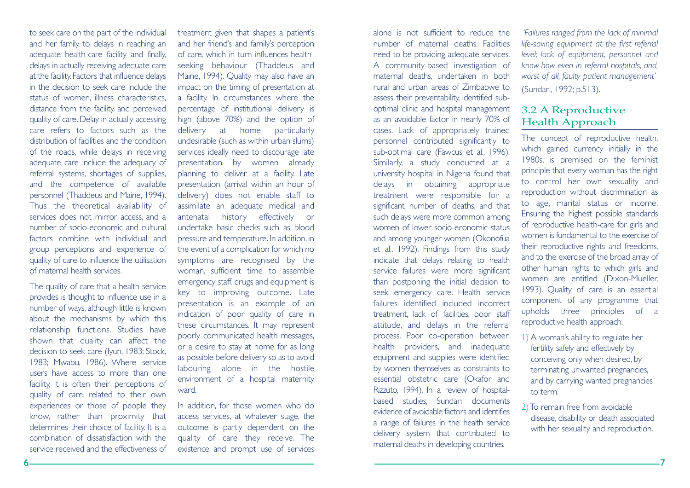to seek care on the part of the individual and her family, to delays in reaching an adequate health-care facility and finally, delays in actually receiving adequate care at the facility.Factors that influence delays in the decision to seek care include thestatus of women, illness characteristics, distance from the facility, and perceived quality of care. Delay in actually accessing care refers to factors such as thedistribution of facilities and the conditionof the roads, while delays in receiving adequate care include the adequacy of referral systems, shortages of supplies, and the competence of available personnel (Thaddeus and Maine, 1994). Thus the theoretical availability of services does not mirror access, and a number of socio-economic and culturalfactors combine with individual andgroup perceptions and experience of quality of care to influence the utilisation of maternal health services.

The quality of care that a health service provides is thought to influence use in a number of ways, although little is known about the mechanisms by which this relationship functions. Studies have shown that quality can affect the decision to seek care (Iyun, 1983; Stock, 1983; Mwabu, 1986). Where service users have access to more than onefacility, it is often their perceptions of quality of care, related to their own experiences or those of people they know, rather than proximity that determines their choice of facility. It is a combination of dissatisfaction with theservice received and the effectiveness of treatment given that shapes a patient's and her friend's and family's perception of care, which in turn influences healthseeking behaviour (Thaddeus and Maine, 1994). Quality may also have an impact on the timing of presentation at a facility. In circumstances where the percentage of institutional delivery is high (above 70%) and the option of delivery at home particularly undesirable (such as within urban slums) services ideally need to discourage late presentation by women already planning to deliver at a facility. Late presentation (arrival within an hour of delivery) does not enable staff to assimilate an adequate medical and antenatal history effectively or undertake basic checks such as bloodpressure and temperature. In addition, in the event of a complication for which no symptoms are recognised by the woman, sufficient time to assemble emergency staff, drugs and equipment is key to improving outcome. Late presentation is an example of an indication of poor quality of care in these circumstances. It may represent poorly communicated health messages, or a desire to stay at home for as long as possible before delivery so as to avoid labouring alone in the hostile environment of a hospital maternity ward.

In addition, for those women who do access services, at whatever stage, the outcome is partly dependent on the quality of care they receive. The existence and prompt use of services

alone is not sufficient to reduce thenumber of maternal deaths. Facilitiesneed to be providing adequate services. A community-based investigation of maternal deaths, undertaken in both rural and urban areas of Zimbabwe toassess their preventability, identified suboptimal clinic and hospital management as an avoidable factor in nearly 70% of cases. Lack of appropriately trained personnel contributed significantly to sub-optimal care (Fawcus et al., 1996). Similarly, a study conducted at a university hospital in Nigeria found that delays in obtaining appropriate treatment were responsible for a significant number of deaths, and that such delays were more common among women of lower socio-economic statusand among younger women (Okonofua et al., 1992). Findings from this study indicate that delays relating to health service failures were more significant than postponing the initial decision to seek emergency care. Health service failures identified included incorrect treatment, lack of facilities, poor staff attitude, and delays in the referral process. Poor co-operation between health providers, and inadequate equipment and supplies were identified by women themselves as constraints to essential obstetric care (Okafor and Rizzuto, 1994). In a review of hospitalbased studies, Sundari documents evidence of avoidable factors and identifiesa range of failures in the health service delivery system that contributed to maternal deaths in developing countries.

*'Failures ranged from the lack of minimal life-saving equipment at the first referral level; lack of equipment, personnel and know-how even in referral hospitals, and, worst of all, faulty patient management'* (Sundari, 1992; p.513).

### 3.2 A Reproductive Health Approach

The concept of reproductive health, which gained currency initially in the 1980s, is premised on the feminist principle that every woman has the right to control her own sexuality and reproduction without discrimination as to age, marital status or income. Ensuring the highest possible standards of reproductive health-care for girls and women is fundamental to the exercise oftheir reproductive rights and freedoms, and to the exercise of the broad array of other human rights to which girls and women are entitled (Dixon-Mueller, 1993). Quality of care is an essential component of any programme that upholds three principles of a reproductive health approach:

- 1) A woman's ability to regulate her fertility safely and effectively by conceiving only when desired, by terminating unwanted pregnancies, and by carrying wanted pregnancies to term.
- 2) To remain free from avoidable disease, disability or death associated with her sexuality and reproduction.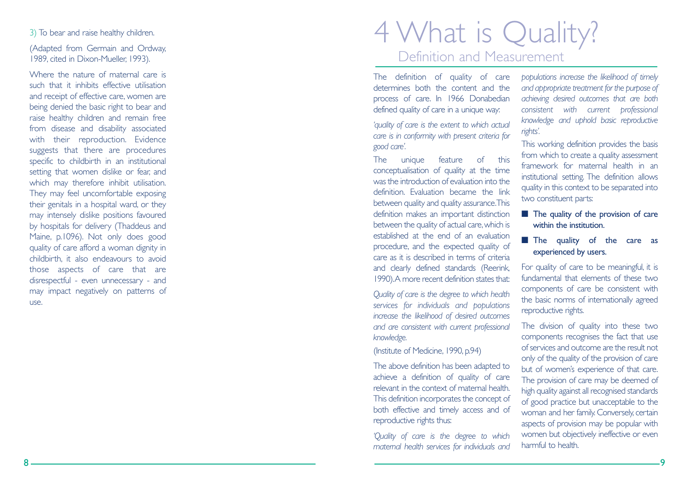### 3) To bear and raise healthy children.

(Adapted from Germain and Ordway, 1989, cited in Dixon-Mueller, 1993).

Where the nature of maternal care is such that it inhibits effective utilisationand receipt of effective care, women are being denied the basic right to bear and raise healthy children and remain free from disease and disability associated with their reproduction. Evidence suggests that there are procedures specific to childbirth in an institutional setting that women dislike or fear, and which may therefore inhibit utilisation. They may feel uncomfortable exposing their genitals in a hospital ward, or they may intensely dislike positions favoured by hospitals for delivery (Thaddeus and Maine, p.1096). Not only does good quality of care afford a woman dignity in childbirth, it also endeavours to avoid those aspects of care that are disrespectful - even unnecessary - and may impact negatively on patterns of use.

# 4 What is Quality? Definition and Measurement

The definition of quality of care determines both the content and theprocess of care. In 1966 Donabedian defined quality of care in a unique way:

*'quality of care is the extent to which actual care is in conformity with present criteria for good care'.*

The unique feature of this conceptualisation of quality at the time was the introduction of evaluation into thedefinition. Evaluation became the linkbetween quality and quality assurance.This definition makes an important distinction between the quality of actual care, which is established at the end of an evaluationprocedure, and the expected quality of care as it is described in terms of criteriaand clearly defined standards (Reerink, 1990).A more recent definition states that:

*Quality of care is the degree to which health services for individuals and populations increase the likelihood of desired outcomes and are consistent with current professional knowledge.*

(Institute of Medicine, 1990, p.94)

The above definition has been adapted to achieve a definition of quality of care relevant in the context of maternal health.This definition incorporates the concept of both effective and timely access and of reproductive rights thus:

*'Quality of care is the degree to which maternal health services for individuals and*

*populations increase the likelihood of timely and appropriate treatment for the purpose of achieving desired outcomes that are both consistent with current professional knowledge and uphold basic reproductive rights'.*

This working definition provides the basis from which to create a quality assessment framework for maternal health in aninstitutional setting. The definition allows quality in this context to be separated into two constituent parts:

- The quality of the provision of care within the institution.
- The quality of the care as experienced by users.

For quality of care to be meaningful, it is fundamental that elements of these twocomponents of care be consistent with the basic norms of internationally agreed reproductive rights.

The division of quality into these two components recognises the fact that use of services and outcome are the result notonly of the quality of the provision of care but of women's experience of that care. The provision of care may be deemed of high quality against all recognised standards of good practice but unacceptable to the woman and her family. Conversely, certain aspects of provision may be popular with women but objectively ineffective or even harmful to health.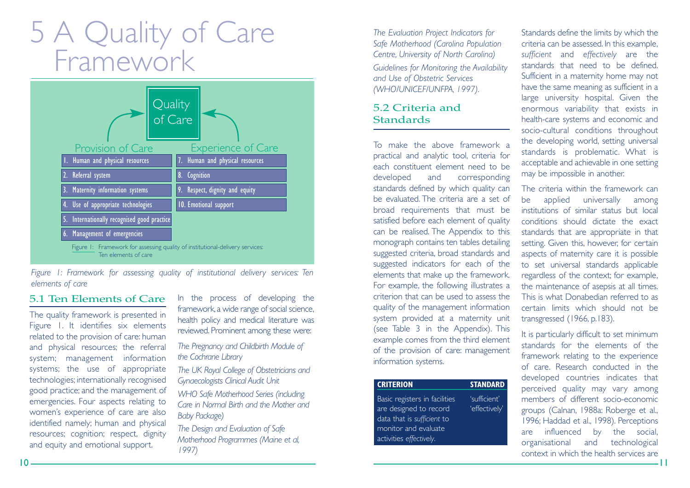# 5 A Quality of Care Framework



*Figure 1: Framework for assessing quality of institutional delivery services: Ten elements of care*

### 5.1 Ten Elements of Care

The quality framework is presented in Figure 1. It identifies six elements related to the provision of care: human and physical resources; the referral system; management information systems; the use of appropriate technologies; internationally recognised good practice; and the management of emergencies. Four aspects relating to women's experience of care are also identified namely; human and physical resources; cognition; respect, dignity and equity and emotional support.

In the process of developing the framework,a wide range of social science, health policy and medical literature was reviewed. Prominent among these were:

*The Pregnancy and Childbirth Module of the Cochrane Library* 

*The UK Royal College of Obstetricians and Gynaecologists Clinical Audit Unit* 

*WHO Safe Motherhood Series (including Care in Normal Birth and the Mother andBaby Package)* 

*The Design and Evaluation of Safe Motherhood Programmes (Maine et al, 1997)* 

*The Evaluation Project Indicators for Safe Motherhood (Carolina Population Centre, University of North Carolina) Guidelines for Monitoring the Availability and Use of Obstetric Services (WHO/UNICEF/UNFPA, 1997).*

### 5.2 Criteria and**Standards**

To make the above framework apractical and analytic tool, criteria for each constituent element need to bedeveloped and corresponding standards defined by which quality can be evaluated. The criteria are a set ofbroad requirements that must be satisfied before each element of quality can be realised. The Appendix to this monograph contains ten tables detailing suggested criteria, broad standards and suggested indicators for each of the elements that make up the framework. For example, the following illustrates a criterion that can be used to assess thequality of the management information system provided at a maternity unit (see Table 3 in the Appendix). This example comes from the third element of the provision of care: managemen<sup>t</sup> information systems.

| <b>CRITERION</b>                                                                                                                         | <b>STANDARD</b>               |
|------------------------------------------------------------------------------------------------------------------------------------------|-------------------------------|
| Basic registers in facilities<br>are designed to record<br>data that is sufficient to<br>monitor and evaluate<br>activities effectively. | 'sufficient'<br>'effectively' |
|                                                                                                                                          |                               |

Standards define the limits by which the criteria can be assessed. In this example, *sufficient* and *effectively* are the standards that need to be defined.Sufficient in a maternity home may not have the same meaning as sufficient in a large university hospital. Given the enormous variability that exists in health-care systems and economic and socio-cultural conditions throughout the developing world, setting universal standards is problematic. What is acceptable and achievable in one setting may be impossible in another.

The criteria within the framework canbe applied universally among institutions of similar status but local conditions should dictate the exactstandards that are appropriate in that setting. Given this, however, for certain aspects of maternity care it is possible to set universal standards applicable regardless of the context; for example, the maintenance of asepsis at all times. This is what Donabedian referred to ascertain limits which should not betransgressed (1966, p.183).

It is particularly difficult to set minimum standards for the elements of theframework relating to the experience of care. Research conducted in thedeveloped countries indicates that perceived quality may vary among members of different socio-economicgroups (Calnan, 1988a: Roberge et al., 1996; Haddad et al., 1998). Perceptions are influenced by the social, organisational and technological context in which the health services are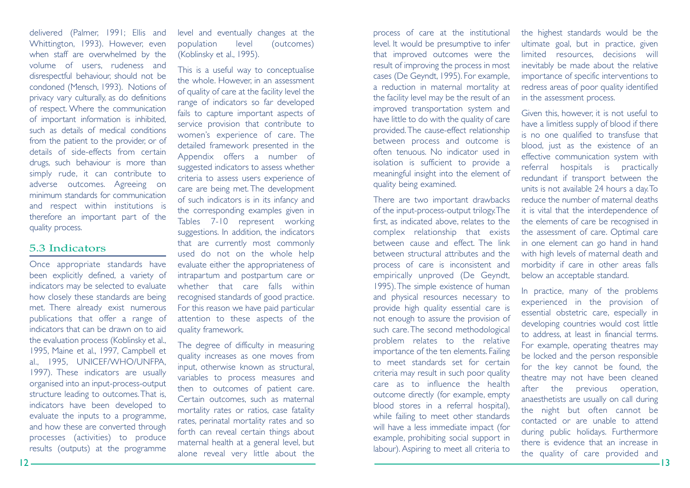delivered (Palmer, 1991; Ellis and Whittington, 1993). However, even when staff are overwhelmed by the volume of users, rudeness and disrespectful behaviour, should not be condoned (Mensch, 1993). Notions of privacy vary culturally, as do definitions of respect. Where the communication of important information is inhibited, such as details of medical conditionsfrom the patient to the provider, or of details of side-effects from certaindrugs, such behaviour is more than simply rude, it can contribute to adverse outcomes. Agreeing on minimum standards for communicationand respect within institutions is therefore an important part of the quality process.

### 5.3 Indicators

Once appropriate standards have been explicitly defined, a variety of indicators may be selected to evaluate how closely these standards are being met. There already exist numerous publications that offer a range of indicators that can be drawn on to aidthe evaluation process (Koblinsky et al., 1995, Maine et al., 1997, Campbell et al., 1995, UNICEF/WHO/UNFPA, 1997). These indicators are usually organised into an input-process-output structure leading to outcomes.That is, indicators have been developed to evaluate the inputs to a programme, and how these are converted through processes (activities) to produce results (outputs) at the programme

level and eventually changes at the population level (outcomes) (Koblinsky et al., 1995).

This is a useful way to conceptualise the whole. However, in an assessment of quality of care at the facility level the range of indicators so far developed fails to capture important aspects of service provision that contribute to women's experience of care. The detailed framework presented in the Appendix offers a number of suggested indicators to assess whether criteria to assess users experience of care are being met. The development of such indicators is in its infancy and the corresponding examples given in Tables 7-10 represent working suggestions. In addition, the indicators that are currently most commonly used do not on the whole help evaluate either the appropriateness of intrapartum and postpartum care or whether that care falls within recognised standards of good practice. For this reason we have paid particular attention to these aspects of the quality framework.

The degree of difficulty in measuring quality increases as one moves from input, otherwise known as structural, variables to process measures and then to outcomes of patient care. Certain outcomes, such as maternal mortality rates or ratios, case fatality rates, perinatal mortality rates and so forth can reveal certain things about maternal health at a general level, but alone reveal very little about the

process of care at the institutional level. It would be presumptive to infer that improved outcomes were the result of improving the process in most cases (De Geyndt, 1995). For example, a reduction in maternal mortality at the facility level may be the result of an improved transportation system and have little to do with the quality of care provided.The cause-effect relationship between process and outcome is often tenuous. No indicator used in isolation is sufficient to provide a meaningful insight into the element of quality being examined.

There are two important drawbacks of the input-process-output trilogy.The first, as indicated above, relates to the complex relationship that exists between cause and effect. The linkbetween structural attributes and theprocess of care is inconsistent and empirically unproved (De Geyndt, 1995).The simple existence of human and physical resources necessary to provide high quality essential care is not enough to assure the provision of such care.The second methodological problem relates to the relative importance of the ten elements. Failing to meet standards set for certaincriteria may result in such poor quality care as to influence the healthoutcome directly (for example, empty blood stores in a referral hospital), while failing to meet other standards will have a less immediate impact (for example, prohibiting social support in labour). Aspiring to meet all criteria to

the highest standards would be the ultimate goal, but in practice, given limited resources, decisions will inevitably be made about the relative importance of specific interventions to redress areas of poor quality identified in the assessment process.

Given this, however, it is not useful to have a limitless supply of blood if there is no one qualified to transfuse that blood, just as the existence of an effective communication system with referral hospitals is practically redundant if transport between the units is not available 24 hours a day.To reduce the number of maternal deathsit is vital that the interdependence of the elements of care be recognised in the assessment of care. Optimal care in one element can go hand in hand with high levels of maternal death and morbidity if care in other areas falls below an acceptable standard.

In practice, many of the problems experienced in the provision of essential obstetric care, especially in developing countries would cost little to address, at least in financial terms. For example, operating theatres may be locked and the person responsible for the key cannot be found, the theatre may not have been cleaned after the previous operation, anaesthetists are usually on call during the night but often cannot be contacted or are unable to attendduring public holidays. Furthermore there is evidence that an increase inthe quality of care provided and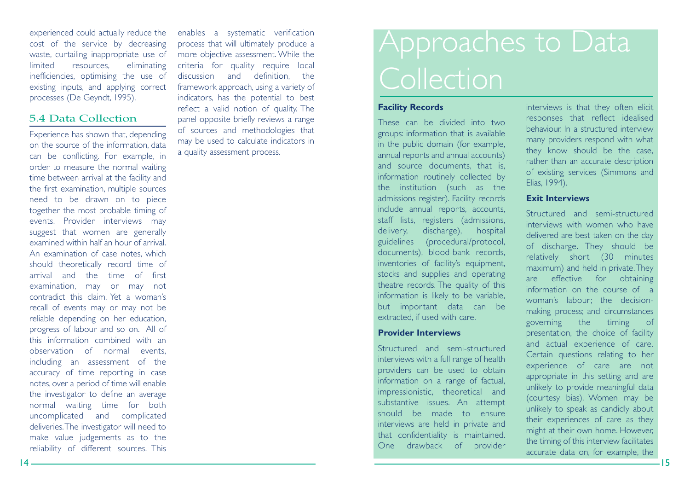experienced could actually reduce the cost of the service by decreasing waste, curtailing inappropriate use of limited resources, eliminating inefficiencies, optimising the use of existing inputs, and applying correct processes (De Geyndt, 1995).

### 5.4 Data Collection

Experience has shown that, depending on the source of the information, data can be conflicting. For example, in order to measure the normal waiting time between arrival at the facility and the first examination, multiple sources need to be drawn on to piece together the most probable timing of events. Provider interviews may suggest that women are generally examined within half an hour of arrival.An examination of case notes, which should theoretically record time of arrival and the time of firstexamination, may or may no<sup>t</sup> contradict this claim. Yet a woman'srecall of events may or may not be reliable depending on her education, progress of labour and so on. All of this information combined with anobservation of normal events, including an assessment of the accuracy of time reporting in case notes, over a period of time will enable the investigator to define an average normal waiting time for both uncomplicated and complicated deliveries.The investigator will need to make value judgements as to the reliability of different sources. This enables a systematic verification process that will ultimately produce a more objective assessment. While the criteria for quality require local discussion and definition, the framework approach, using a variety of indicators, has the potential to best reflect a valid notion of quality. The panel opposite briefly reviews a range of sources and methodologies that may be used to calculate indicators in a quality assessment process.

# Approaches to Data Collection

### **Facility Records**

These can be divided into twogroups: information that is available in the public domain (for example, annual reports and annual accounts) and source documents, that is, information routinely collected by the institution (such as the admissions register). Facility records include annual reports, accounts, staff lists, registers (admissions, delivery, discharge), hospital guidelines (procedural/protocol, documents), blood-bank records, inventories of facility's equipment, stocks and supplies and operating theatre records. The quality of this information is likely to be variable, but important data can be extracted, if used with care.

### **Provider Interviews**

Structured and semi-structured interviews with a full range of health providers can be used to obtain information on a range of factual, impressionistic, theoretical and substantive issues. An attempt should be made to ensureinterviews are held in private and that confidentiality is maintained. One drawback of provider interviews is that they often elicit responses that reflect idealised behaviour. In a structured interviewmany providers respond with what they know should be the case, rather than an accurate description of existing services (Simmons and Elias, 1994).

### **Exit Interviews**

Structured and semi-structuredinterviews with women who havedelivered are best taken on the day of discharge. They should be relatively short (30 minutes maximum) and held in private.They are effective for obtaining information on the course of awoman's labour; the decisionmaking process; and circumstances governing the timing of presentation, the choice of facility and actual experience of care. Certain questions relating to her experience of care are not appropriate in this setting and are unlikely to provide meaningful data (courtesy bias). Women may be unlikely to speak as candidly about their experiences of care as they might at their own home. However, the timing of this interview facilitates accurate data on, for example, the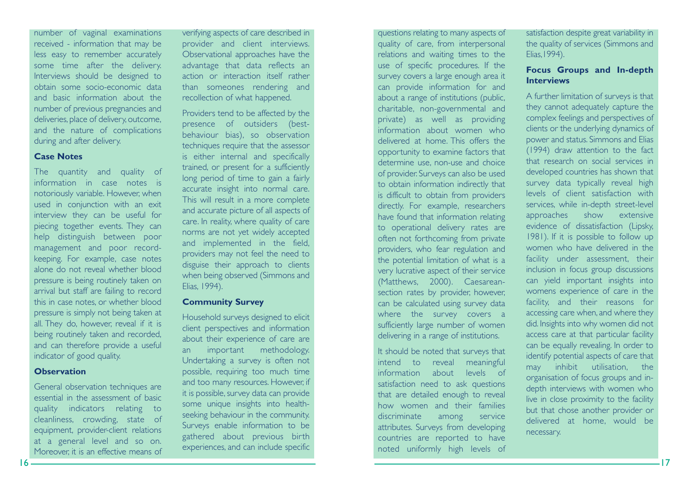number of vaginal examinations received - information that may be less easy to remember accurately some time after the delivery. Interviews should be designed to obtain some socio-economic dataand basic information about thenumber of previous pregnancies and deliveries, place of delivery, outcome, and the nature of complications during and after delivery.

### **Case Notes**

The quantity and quality of information in case notes isnotoriously variable. However, when used in conjunction with an exit interview they can be useful for piecing together events. They can help distinguish between poor management and poor recordkeeping. For example, case notes alone do not reveal whether bloodpressure is being routinely taken on arrival but staff are failing to record this in case notes, or whether blood pressure is simply not being taken at all. They do, however, reveal if it is being routinely taken and recorded, and can therefore provide a useful indicator of good quality.

### **Observation**

General observation techniques are essential in the assessment of basicquality indicators relating to cleanliness, crowding, state of equipment, provider-client relations at a general level and so on. Moreover, it is an effective means of

verifying aspects of care described in provider and client interviews. Observational approaches have the advantage that data reflects an action or interaction itself ratherthan someones rendering and recollection of what happened.

Providers tend to be affected by the presence of outsiders (bestbehaviour bias), so observation techniques require that the assessor is either internal and specifically trained, or present for a sufficiently long period of time to gain a fairly accurate insight into normal care. This will result in a more complete and accurate picture of all aspects of care. In reality, where quality of care norms are not yet widely accepted and implemented in the field, providers may not feel the need to disguise their approach to clients when being observed (Simmons and Elias, 1994).

### **Community Survey**

Household surveys designed to elicit client perspectives and information about their experience of care are an important methodology. Undertaking a survey is often not possible, requiring too much time and too many resources. However, if it is possible, survey data can provide some unique insights into healthseeking behaviour in the community. Surveys enable information to be gathered about previous birth experiences, and can include specific

relations and waiting times to the use of specific procedures. If the survey covers a large enough area it can provide information for and about a range of institutions (public, charitable, non-governmental and private) as well as providing information about women whodelivered at home. This offers theopportunity to examine factors that determine use, non-use and choice of provider. Surveys can also be used to obtain information indirectly that is difficult to obtain from providers directly. For example, researchers have found that information relating to operational delivery rates are often not forthcoming from private providers, who fear regulation and the potential limitation of what is a very lucrative aspect of their service (Matthews, 2000). Caesareansection rates by provider, however, can be calculated using survey data where the survey covers a sufficiently large number of women delivering in a range of institutions. It should be noted that surveys that intend to reveal meaningful information about levels ofsatisfaction need to ask questions

that are detailed enough to reveal how women and their familiesdiscriminate among service attributes. Surveys from developing countries are reported to have noted uniformly high levels of

questions relating to many aspects of quality of care, from interpersonal satisfaction despite great variability in the quality of services (Simmons and Elias,1994).

### **Focus Groups and In-depth Interviews**

A further limitation of surveys is that they cannot adequately capture the complex feelings and perspectives of clients or the underlying dynamics of power and status. Simmons and Elias (1994) draw attention to the fact that research on social services indeveloped countries has shown that survey data typically reveal high levels of client satisfaction with services, while in-depth street-level approaches show extensive evidence of dissatisfaction (Lipsky, 1981). If it is possible to follow up women who have delivered in thefacility under assessment, their inclusion in focus group discussions can yield important insights into womens experience of care in the facility, and their reasons for accessing care when, and where they did. Insights into why women did not access care at that particular facility can be equally revealing. In order to identify potential aspects of care that may inhibit utilisation, the organisation of focus groups and indepth interviews with women who live in close proximity to the facility but that chose another provider or delivered at home, would be necessary.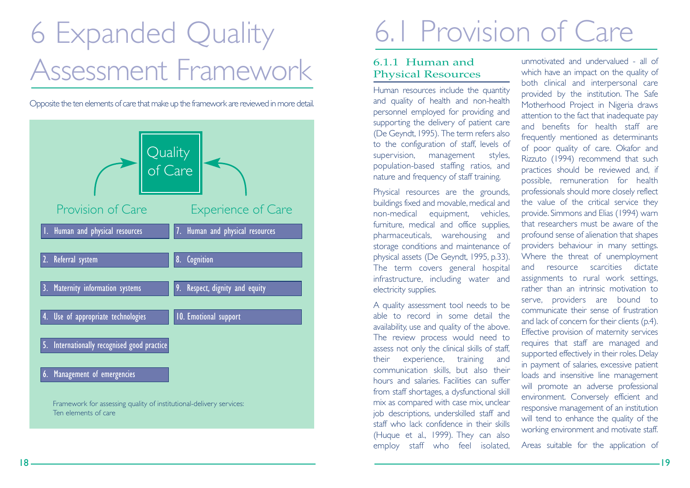# 6 Expanded Quality Assessment Framework

Opposite the ten elements of care that make up the framework are reviewed in more detail.



# 6.1 Provision of Care

### 6.1.1 Human andPhysical Resources

Human resources include the quantity and quality of health and non-health personnel employed for providing and supporting the delivery of patient care (De Geyndt,1995). The term refers also to the configuration of staff, levels of supervision, management styles, population-based staffing ratios, and nature and frequency of staff training.

Physical resources are the grounds, buildings fixed and movable, medical and non-medical equipment, vehicles, furniture, medical and office supplies, pharmaceuticals, warehousing and storage conditions and maintenance of physical assets (De Geyndt, 1995, p.33). The term covers general hospital infrastructure, including water and electricity supplies.

A quality assessment tool needs to be able to record in some detail theavailability, use and quality of the above. The review process would need to assess not only the clinical skills of staff, their experience, training and communication skills, but also their hours and salaries. Facilities can sufferfrom staff shortages, a dysfunctional skill mix as compared with case mix, unclear job descriptions, underskilled staff and staff who lack confidence in their skills(Huque et al., 1999). They can also employ staff who feel isolated,

unmotivated and undervalued - all ofwhich have an impact on the quality of both clinical and interpersonal care provided by the institution. The Safe Motherhood Project in Nigeria draws attention to the fact that inadequate pay and benefits for health staff arefrequently mentioned as determinants of poor quality of care. Okafor and Rizzuto (1994) recommend that such practices should be reviewed and, if possible, remuneration for health professionals should more closely reflect the value of the critical service they provide. Simmons and Elias (1994) warn that researchers must be aware of theprofound sense of alienation that shapes providers behaviour in many settings. Where the threat of unemployment and resource scarcities dictateassignments to rural work settings, rather than an intrinsic motivation toserve, providers are bound to communicate their sense of frustrationand lack of concern for their clients (p.4). Effective provision of maternity services requires that staff are managed and supported effectively in their roles. Delay in payment of salaries, excessive patient loads and insensitive line management will promote an adverse professional environment. Conversely efficient and responsive management of an institution will tend to enhance the quality of the working environment and motivate staff.

Areas suitable for the application of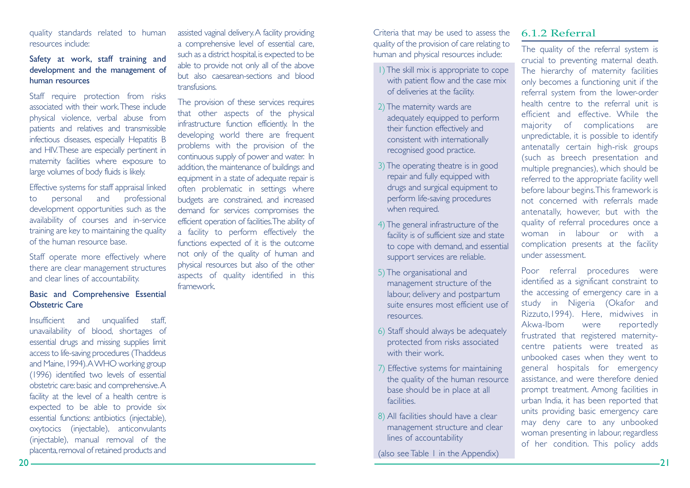### quality standards related to human resources include:

### Safety at work, staff training and development and the management of human resources

Staff require protection from risks associated with their work.These includephysical violence, verbal abuse from patients and relatives and transmissible infectious diseases, especially Hepatitis B and HIV.These are especially pertinent in maternity facilities where exposure to large volumes of body fluids is likely.

Effective systems for staff appraisal linked to personal and professional development opportunities such as the availability of courses and in-service training are key to maintaining the quality of the human resource base.

Staff operate more effectively where there are clear management structures and clear lines of accountability.

### Basic and Comprehensive Essential Obstetric Care

Insufficient and unqualified staff, unavailability of blood, shortages of essential drugs and missing supplies limit access to life-saving procedures (Thaddeus and Maine, 1994). A WHO working group (1996) identified two levels of essential obstetric care: basic and comprehensive. A facility at the level of a health centre is expected to be able to provide six essential functions: antibiotics (injectable), oxytocics (injectable), anticonvulants (injectable), manual removal of the placenta, removal of retained products and

assisted vaginal delivery.A facility providing a comprehensive level of essential care, such as a district hospital, is expected to be able to provide not only all of the above but also caesarean-sections and bloodtransfusions.

The provision of these services requires that other aspects of the physical infrastructure function efficiently. In the developing world there are frequent problems with the provision of the continuous supply of power and water. In addition, the maintenance of buildings and equipment in a state of adequate repair is often problematic in settings where budgets are constrained, and increased demand for services compromises the efficient operation of facilities.The ability of a facility to perform effectively the functions expected of it is the outcome not only of the quality of human and physical resources but also of the other aspects of quality identified in this framework.

Criteria that may be used to assess the quality of the provision of care relating to human and physical resources include:

- 1) The skill mix is appropriate to cope with patient flow and the case mix of deliveries at the facility.
- 2)The maternity wards are adequately equipped to perform their function effectively and consistent with internationally recognised good practice.
- 3) The operating theatre is in good repair and fully equipped with drugs and surgical equipment to perform life-saving procedures when required.
- 4)The general infrastructure of the facility is of sufficient size and state to cope with demand, and essential support services are reliable.
- 5)The organisational and management structure of the labour, delivery and postpartum suite ensures most efficient use ofresources.
- 6) Staff should always be adequately protected from risks associated with their work.
- 7) Effective systems for maintaining the quality of the human resource base should be in place at all facilities.
- 8) All facilities should have a clear management structure and clear lines of accountability

(also see Table 1 in the Appendix)

### 6.1.2 Referral

The quality of the referral system is crucial to preventing maternal death. The hierarchy of maternity facilities only becomes a functioning unit if the referral system from the lower-order health centre to the referral unit isefficient and effective. While themajority of complications are unpredictable, it is possible to identify antenatally certain high-risk groups (such as breech presentation and multiple pregnancies), which should be referred to the appropriate facility well before labour begins.This framework is not concerned with referrals madeantenatally, however, but with the quality of referral procedures once a woman in labour or with acomplication presents at the facility under assessment.

Poor referral procedures were identified as a significant constraint to the accessing of emergency care in a study in Nigeria (Okafor and Rizzuto,1994). Here, midwives in Akwa-Ibom were reportedly frustrated that registered maternitycentre patients were treated as unbooked cases when they went to general hospitals for emergency assistance, and were therefore denied prompt treatment. Among facilities in urban India, it has been reported that units providing basic emergency care may deny care to any unbooked woman presenting in labour, regardless of her condition. This policy adds

21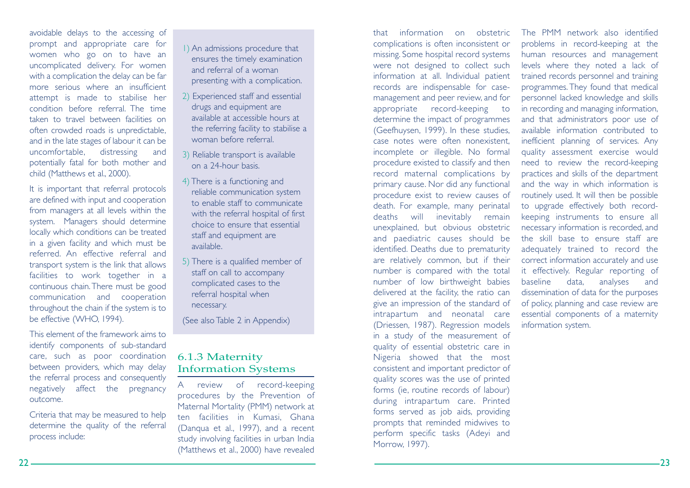avoidable delays to the accessing of prompt and appropriate care for women who go on to have an uncomplicated delivery. For women with a complication the delay can be far more serious where an insufficientattempt is made to stabilise her condition before referral. The timetaken to travel between facilities onoften crowded roads is unpredictable, and in the late stages of labour it can be uncomfortable, distressing and potentially fatal for both mother and child (Matthews et al., 2000).

It is important that referral protocols are defined with input and cooperation from managers at all levels within the system. Managers should determine locally which conditions can be treated in a given facility and which must be referred. An effective referral andtransport system is the link that allows facilities to work together in a continuous chain.There must be good communication and cooperation throughout the chain if the system is to be effective (WHO, 1994).

This element of the framework aims toidentify components of sub-standard care, such as poor coordination between providers, which may delay the referral process and consequently negatively affect the pregnancy outcome.

Criteria that may be measured to help determine the quality of the referral process include:

1) An admissions procedure that ensures the timely examination and referral of a woman presenting with a complication.

- 2) Experienced staff and essential drugs and equipment are available at accessible hours atthe referring facility to stabilise a woman before referral.
- 3) Reliable transport is available on a 24-hour basis.
- 4) There is a functioning and reliable communication system to enable staff to communicatewith the referral hospital of first choice to ensure that essentialstaff and equipment are available.
- 5) There is a qualified member of staff on call to accompany complicated cases to the referral hospital when necessary.

(See also Table 2 in Appendix)

### 6.1.3 Maternity Information Systems

A review of record-keeping procedures by the Prevention of Maternal Mortality (PMM) network at ten facilities in Kumasi, Ghana (Danqua et al., 1997), and a recent study involving facilities in urban India (Matthews et al., 2000) have revealed

that information on obstetriccomplications is often inconsistent or missing. Some hospital record systems were not designed to collect such information at all. Individual patient records are indispensable for casemanagement and peer review, and for appropriate record-keeping to determine the impact of programmes (Geefhuysen, 1999). In these studies, case notes were often nonexistent, incomplete or illegible. No formal procedure existed to classify and then record maternal complications by primary cause. Nor did any functional procedure exist to review causes of death. For example, many perinatal deaths will inevitably remain unexplained, but obvious obstetric and paediatric causes should be identified. Deaths due to prematurity are relatively common, but if their number is compared with the total number of low birthweight babies delivered at the facility, the ratio can give an impression of the standard of intrapartum and neonatal care (Driessen, 1987). Regression models in a study of the measurement of quality of essential obstetric care in Nigeria showed that the most consistent and important predictor of quality scores was the use of printed forms (ie, routine records of labour) during intrapartum care. Printed forms served as job aids, providing prompts that reminded midwives to perform specific tasks (Adeyi and Morrow, 1997).

The PMM network also identifiedproblems in record-keeping at the human resources and management levels where they noted a lack of trained records personnel and training programmes. They found that medical personnel lacked knowledge and skills in recording and managing information, and that administrators poor use of available information contributed toinefficient planning of services. Any quality assessment exercise would need to review the record-keeping practices and skills of the department and the way in which information is routinely used. It will then be possible to upgrade effectively both recordkeeping instruments to ensure all necessary information is recorded, and the skill base to ensure staff areadequately trained to record the correct information accurately and use it effectively. Regular reporting of baseline data, analyses and dissemination of data for the purposes of policy, planning and case review are essential components of a maternity information system.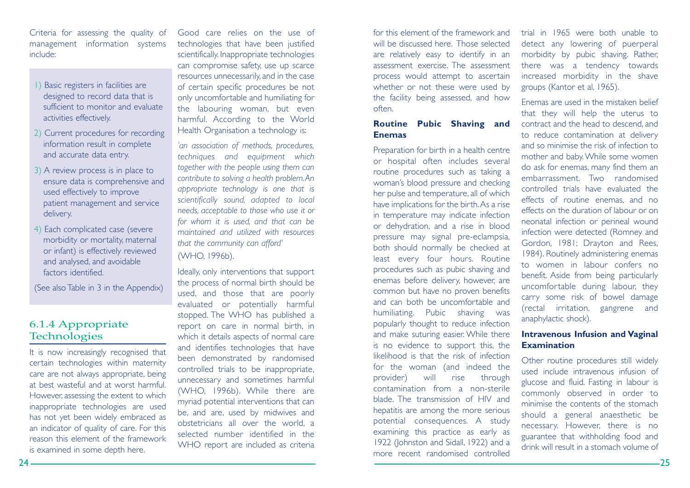Criteria for assessing the quality of management information systems include:

- 1) Basic registers in facilities are designed to record data that is sufficient to monitor and evaluateactivities effectively.
- 2) Current procedures for recording information result in complete and accurate data entry.
- 3) A review process is in place to ensure data is comprehensive and used effectively to improve patient management and service delivery.
- 4) Each complicated case (severe morbidity or mortality, maternal or infant) is effectively reviewed and analysed, and avoidable factors identified.

(See also Table in 3 in the Appendix)

### 6.1.4 Appropriate **Technologies**

It is now increasingly recognised that certain technologies within maternity care are not always appropriate, being at best wasteful and at worst harmful.However, assessing the extent to which inappropriate technologies are used has not yet been widely embraced as an indicator of quality of care. For this reason this element of the frameworkis examined in some depth here.

Good care relies on the use oftechnologies that have been justified scientifically. Inappropriate technologies can compromise safety, use up scarce resources unnecessarily, and in the case of certain specific procedures be not only uncomfortable and humiliating for the labouring woman, but even harmful. According to the World Health Organisation a technology is:

*'an association of methods, procedures, techniques and equipment which together with the people using them can contribute to solving a health problem.An appropriate technology is one that is scientifically sound, adapted to local needs, acceptable to those who use it or for whom it is used, and that can be maintained and utilized with resourcesthat the community can afford'*

(WHO, 1996b).

Ideally, only interventions that support the process of normal birth should be used, and those that are poorly evaluated or potentially harmful stopped. The WHO has published a report on care in normal birth, in which it details aspects of normal care and identifies technologies that have been demonstrated by randomised controlled trials to be inappropriate, unnecessary and sometimes harmful (WHO, 1996b). While there are myriad potential interventions that can be, and are, used by midwives and obstetricians all over the world, <sup>a</sup> selected number identified in theWHO report are included as criteria

for this element of the framework andwill be discussed here. Those selectedare relatively easy to identify in an assessment exercise. The assessmentprocess would attempt to ascertain whether or not these were used by the facility being assessed, and how often.

### **Routine Pubic Shaving and Enemas**

Preparation for birth in a health centre or hospital often includes several routine procedures such as taking a woman's blood pressure and checking her pulse and temperature, all of which have implications for the birth.As a rise in temperature may indicate infection or dehydration, and a rise in blood pressure may signal pre-eclampsia, both should normally be checked at least every four hours. Routine procedures such as pubic shaving and enemas before delivery, however, are common but have no proven benefits and can both be uncomfortable andhumiliating. Pubic shaving was popularly thought to reduce infection and make suturing easier. While there is no evidence to support this, the likelihood is that the risk of infectionfor the woman (and indeed the provider) will rise through contamination from a non-sterileblade. The transmission of HIV andhepatitis are among the more serious potential consequences. A study examining this practice as early as 1922 (Johnston and Sidall, 1922) and a more recent randomised controlled

trial in 1965 were both unable todetect any lowering of puerperal morbidity by pubic shaving. Rather, there was a tendency towards increased morbidity in the shave groups (Kantor et al, 1965).

Enemas are used in the mistaken beliefthat they will help the uterus to contract and the head to descend, and to reduce contamination at delivery and so minimise the risk of infection tomother and baby.While some women do ask for enemas, many find them an embarrassment. Two randomisedcontrolled trials have evaluated theeffects of routine enemas, and no effects on the duration of labour or onneonatal infection or perineal wound infection were detected (Romney and Gordon, 1981; Drayton and Rees, 1984). Routinely administering enemas to women in labour confers no benefit. Aside from being particularly uncomfortable during labour, they carry some risk of bowel damage (rectal irritation, gangrene and anaphylactic shock).

### **Intravenous Infusion and Vaginal Examination**

Other routine procedures still widely used include intravenous infusion of glucose and fluid. Fasting in labour is commonly observed in order to minimise the contents of the stomachshould a general anaesthetic be necessary. However, there is no guarantee that withholding food and drink will result in a stomach volume of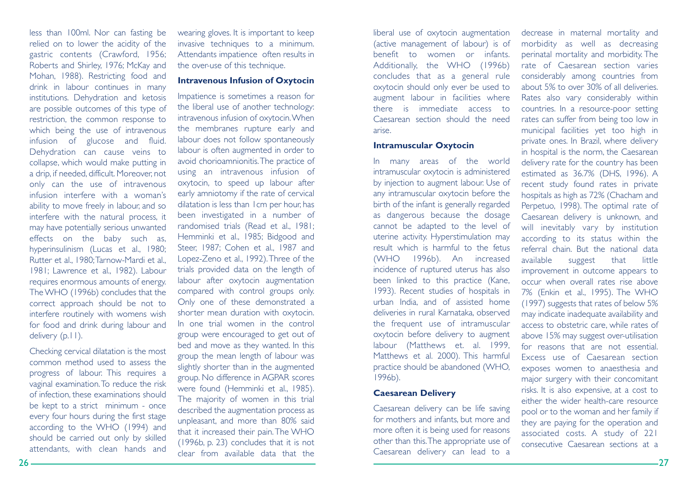less than 100ml. Nor can fasting be relied on to lower the acidity of the gastric contents (Crawford, 1956; Roberts and Shirley, 1976; McKay and Mohan, 1988). Restricting food and drink in labour continues in many institutions. Dehydration and ketosis are possible outcomes of this type of restriction, the common response to which being the use of intravenous infusion of glucose and fluid. Dehydration can cause veins to collapse, which would make putting in a drip, if needed, difficult. Moreover, not only can the use of intravenous infusion interfere with a woman'sability to move freely in labour, and so interfere with the natural process, it may have potentially serious unwanted effects on the baby such as, hyperinsulinism (Lucas et al., 1980; Rutter et al., 1980;Tarnow-Mardi et al., 1981; Lawrence et al., 1982). Labour requires enormous amounts of energy. The WHO (1996b) concludes that the correct approach should be not to interfere routinely with womens wish for food and drink during labour and delivery (p.11).

Checking cervical dilatation is the most common method used to assess theprogress of labour. This requires a vaginal examination.To reduce the risk of infection, these examinations should be kept to a strict minimum - once every four hours during the first stage according to the WHO (1994) and should be carried out only by skilled attendants, with clean hands and

wearing gloves. It is important to keep invasive techniques to a minimum. Attendants impatience often results in the over-use of this technique.

### **Intravenous Infusion of Oxytocin**

Impatience is sometimes a reason for the liberal use of another technology: intravenous infusion of oxytocin.When the membranes rupture early and labour does not follow spontaneously labour is often augmented in order to avoid chorioamnionitis.The practice of using an intravenous infusion of oxytocin, to speed up labour after early amniotomy if the rate of cervical dilatation is less than 1cm per hour, has been investigated in a number of randomised trials (Read et al., 1981; Hemminki et al., 1985; Bidgood and Steer, 1987; Cohen et al., 1987 and Lopez-Zeno et al., 1992).Three of the trials provided data on the length of labour after oxytocin augmentation compared with control groups only. Only one of these demonstrated a shorter mean duration with oxytocin. In one trial women in the controlgroup were encouraged to get out of bed and move as they wanted. In this group the mean length of labour was slightly shorter than in the augmented group. No difference in AGPAR scores were found (Hemminki et al., 1985). The majority of women in this trial described the augmentation process as unpleasant, and more than 80% said that it increased their pain.The WHO (1996b, p. 23) concludes that it is not clear from available data that the

liberal use of oxytocin augmentation (active management of labour) is of benefit to women or infants.Additionally, the WHO (1996b) concludes that as a general rule oxytocin should only ever be used to augment labour in facilities where there is immediate access toCaesarean section should the needarise.

### **Intramuscular Oxytocin**

In many areas of the world intramuscular oxytocin is administered by injection to augment labour. Use of any intramuscular oxytocin before the birth of the infant is generally regarded as dangerous because the dosage cannot be adapted to the level of uterine activity. Hyperstimulation may result which is harmful to the fetus(WHO 1996b). An increased incidence of ruptured uterus has also been linked to this practice (Kane, 1993). Recent studies of hospitals in urban India, and of assisted home deliveries in rural Karnataka, observed the frequent use of intramuscular oxytocin before delivery to augment labour (Matthews et. al. 1999, Matthews et al. 2000). This harmful practice should be abandoned (WHO, 1996b).

### **Caesarean Delivery**

Caesarean delivery can be life saving for mothers and infants, but more and more often it is being used for reasons other than this.The appropriate use of Caesarean delivery can lead to a

decrease in maternal mortality and morbidity as well as decreasing perinatal mortality and morbidity. The rate of Caesarean section variesconsiderably among countries from about 5% to over 30% of all deliveries.Rates also vary considerably within countries. In a resource-poor setting rates can suffer from being too low in municipal facilities yet too high in private ones. In Brazil, where delivery in hospital is the norm, the Caesarean delivery rate for the country has been estimated as 36.7% (DHS, 1996). A recent study found rates in private hospitals as high as 72% (Chacham and Perpetuo, 1998). The optimal rate of Caesarean delivery is unknown, and will inevitably vary by institution according to its status within the referral chain. But the national dataavailable suggest that little improvement in outcome appears to occur when overall rates rise above7% (Enkin et al., 1995). The WHO (1997) suggests that rates of below 5% may indicate inadequate availability and access to obstetric care, while rates of above 15% may suggest over-utilisation for reasons that are not essential.Excess use of Caesarean sectionexposes women to anaesthesia and major surgery with their concomitant risks. It is also expensive, at a cost to either the wider health-care resourcepool or to the woman and her family if they are paying for the operation and associated costs. A study of 221 consecutive Caesarean sections at a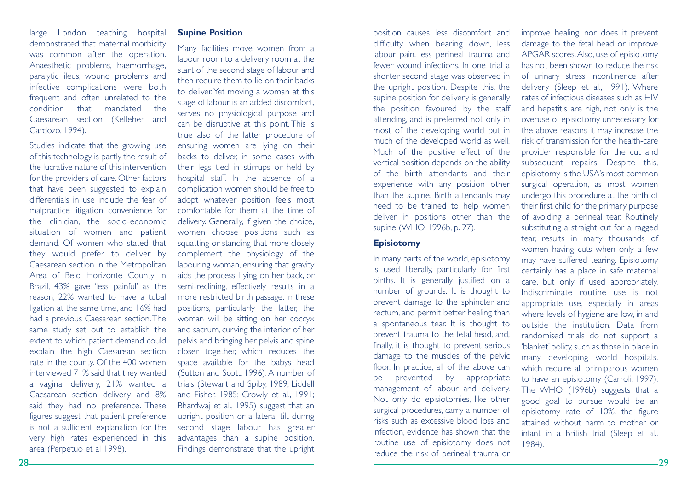### large London teaching hospital demonstrated that maternal morbidity was common after the operation. Anaesthetic problems, haemorrhage, paralytic ileus, wound problems and infective complications were both frequent and often unrelated to the condition that mandated theCaesarean section (Kelleher and Cardozo, 1994).

Studies indicate that the growing use of this technology is partly the result of the lucrative nature of this interventionfor the providers of care. Other factors that have been suggested to explain differentials in use include the fear ofmalpractice litigation, convenience for the clinician, the socio-economic situation of women and patient demand. Of women who stated thatthey would prefer to deliver by Caesarean section in the Metropolitan Area of Belo Horizonte County in Brazil, 43% gave 'less painful' as the reason, 22% wanted to have a tubal ligation at the same time, and 16% had had a previous Caesarean section.The same study set out to establish the extent to which patient demand could explain the high Caesarean section rate in the county. Of the 400 women interviewed 71% said that they wanted a vaginal delivery, 21% wanted a Caesarean section delivery and 8% said they had no preference. These figures suggest that patient preference is not a sufficient explanation for the very high rates experienced in this area (Perpetuo et al 1998).

### **Supine Position**

Many facilities move women from a labour room to a delivery room at the start of the second stage of labour and then require them to lie on their backs to deliver.Yet moving a woman at this stage of labour is an added discomfort, serves no physiological purpose and can be disruptive at this point. This is true also of the latter procedure of ensuring women are lying on their backs to deliver, in some cases with their legs tied in stirrups or held by hospital staff. In the absence of a complication women should be free to adopt whatever position feels most comfortable for them at the time ofdelivery. Generally, if given the choice, women choose positions such as squatting or standing that more closely complement the physiology of the labouring woman, ensuring that gravity aids the process. Lying on her back, or semi-reclining, effectively results in a more restricted birth passage. In these positions, particularly the latter, the woman will be sitting on her coccyx and sacrum, curving the interior of her pelvis and bringing her pelvis and spine closer together, which reduces the space available for the babys head (Sutton and Scott, 1996). A number of trials (Stewart and Spiby, 1989; Liddell and Fisher, 1985; Crowly et al., 1991; Bhardwaj et al., 1995) suggest that an upright position or a lateral tilt during second stage labour has greater advantages than a supine position. Findings demonstrate that the upright

position causes less discomfort and difficulty when bearing down, less labour pain, less perineal trauma and fewer wound infections. In one trial ashorter second stage was observed in the upright position. Despite this, the supine position for delivery is generally the position favoured by the staff attending, and is preferred not only in most of the developing world but in much of the developed world as well. Much of the positive effect of the vertical position depends on the ability of the birth attendants and theirexperience with any position other than the supine. Birth attendants may need to be trained to help women deliver in positions other than the supine (WHO, 1996b, p. 27).

### **Episiotomy**

In many parts of the world, episiotomy is used liberally, particularly for first births. It is generally justified on a number of grounds. It is thought to prevent damage to the sphincter and rectum, and permit better healing than a spontaneous tear. It is thought to prevent trauma to the fetal head, and, finally, it is thought to prevent serious damage to the muscles of the pelvic floor. In practice, all of the above can be prevented by appropriate management of labour and delivery. Not only do episiotomies, like other surgical procedures, carry a number of risks such as excessive blood loss andinfection, evidence has shown that the routine use of episiotomy does not reduce the risk of perineal trauma or

improve healing, nor does it prevent damage to the fetal head or improve APGAR scores.Also, use of episiotomy has not been shown to reduce the riskof urinary stress incontinence after delivery (Sleep et al., 1991). Where rates of infectious diseases such as HIVand hepatitis are high, not only is the overuse of episiotomy unnecessary for the above reasons it may increase the risk of transmission for the health-careprovider responsible for the cut and subsequent repairs. Despite this, episiotomy is the USA's most common surgical operation, as most women undergo this procedure at the birth of their first child for the primary purpose of avoiding a perineal tear. Routinely substituting a straight cut for a ragged tear, results in many thousands of women having cuts when only a few may have suffered tearing. Episiotomy certainly has a place in safe maternal care, but only if used appropriately. Indiscriminate routine use is not appropriate use, especially in areas where levels of hygiene are low, in and outside the institution. Data fromrandomised trials do not support a 'blanket' policy, such as those in place in many developing world hospitals, which require all primiparous women to have an episiotomy (Carroli, 1997). The WHO (1996b) suggests that a good goal to pursue would be an episiotomy rate of 10%, the figure attained without harm to mother orinfant in a British trial (Sleep et al., 1984).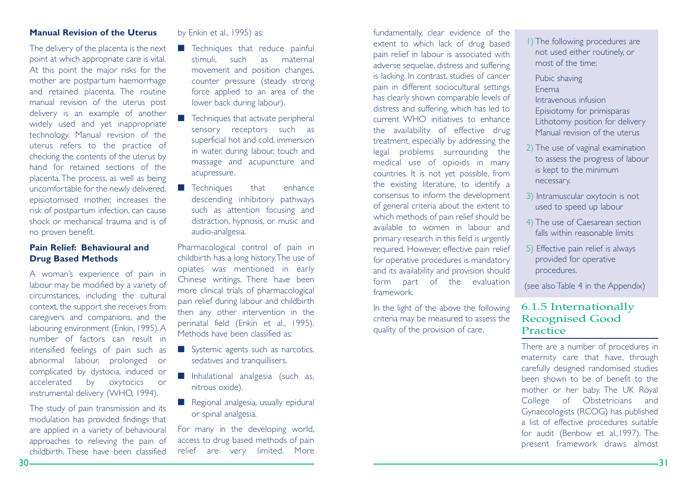### **Manual Revision of the Uterus**

The delivery of the placenta is the next point at which appropriate care is vital. At this point the major risks for the mother are postpartum haemorrhage and retained placenta. The routine manual revision of the uterus post delivery is an example of another widely used and yet inappropriate technology. Manual revision of the uterus refers to the practice of checking the contents of the uterus by hand for retained sections of theplacenta.The process, as well as being uncomfortable for the newly delivered, episiotomised mother, increases the risk of postpartum infection, can cause shock or mechanical trauma and is ofno proven benefit.

### **Pain Relief: Behavioural andDrug Based Methods**

A woman's experience of pain in labour may be modified by a variety of circumstances, including the cultural context, the support she receives from caregivers and companions, and the labouring environment (Enkin, 1995).A number of factors can result inintensified feelings of pain such as abnormal labour, prolonged or complicated by dystocia, induced or accelerated by oxytocics or instrumental delivery (WHO, 1994).

The study of pain transmission and its modulation has provided findings that are applied in a variety of behavioural approaches to relieving the pain of childbirth. These have been classified

### by Enkin et al., 1995) as:

- Techniques that reduce painful stimuli, such as maternal movement and position changes, counter pressure (steady strong force applied to an area of the lower back during labour).
- Techniques that activate peripheral sensory receptors such as superficial hot and cold, immersion in water, during labour, touch and massage and acupuncture and acupressure.
- Techniques that enhance descending inhibitory pathways such as attention focusing and distraction, hypnosis, or music and audio-analgesia.

Pharmacological control of pain in childbirth has a long history.The use of opiates was mentioned in early Chinese writings. There have been more clinical trials of pharmacological pain relief during labour and childbirth then any other intervention in the perinatal field (Enkin et al., 1995). Methods have been classified as:

- Systemic agents such as narcotics, sedatives and tranquillisers.
- Inhalational analgesia (such as, nitrous oxide).
- Regional analgesia, usually epidural or spinal analgesia.

For many in the developing world, access to drug based methods of pain relief are very limited. More

fundamentally, clear evidence of the extent to which lack of drug based pain relief in labour is associated with adverse sequelae, distress and suffering is lacking. In contrast, studies of cancer pain in different sociocultural settings has clearly shown comparable levels of distress and suffering, which has led to current WHO initiatives to enhancethe availability of effective drug treatment, especially by addressing the legal problems surrounding the medical use of opioids in many countries. It is not yet possible, from the existing literature, to identify a consensus to inform the development of general criteria about the extent to which methods of pain relief should be available to women in labour andprimary research in this field is urgently required. However, effective pain relief for operative procedures is mandatory and its availability and provision should form part of the evaluation framework.

In the light of the above the following criteria may be measured to assess the quality of the provision of care.

1) The following procedures are not used either routinely, or most of the time:

Pubic shaving Enema

Intravenous infusionEpisiotomy for primisparas Lithotomy position for delivery Manual revision of the uterus

- 2) The use of vaginal examination to assess the progress of labour is kept to the minimum necessary.
- 3) Intramuscular oxytocin is not used to speed up labour
- 4) The use of Caesarean section falls within reasonable limits
- 5) Effective pain relief is always provided for operative procedures.

(see also Table 4 in the Appendix)

### 6.1.5 Internationally Recognised Good Practice

There are a number of procedures in maternity care that have, through carefully designed randomised studies been shown to be of benefit to themother or her baby. The UK Royal College of Obstetricians and Gynaecologists (RCOG) has published a list of effective procedures suitable for audit (Benbow et al.,1997). The present framework draws almost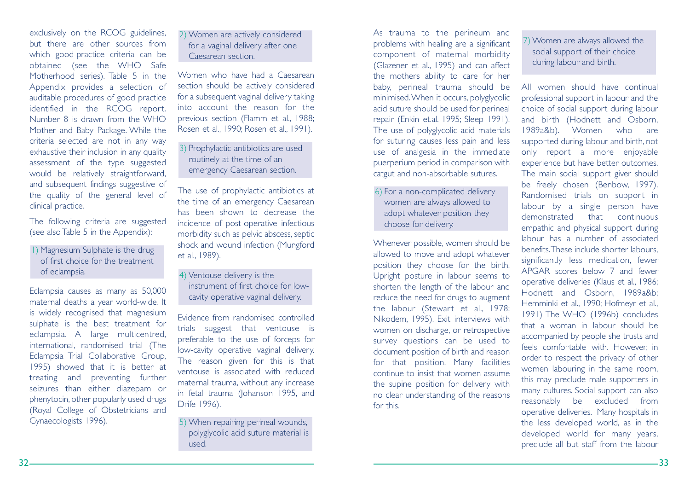exclusively on the RCOG guidelines, but there are other sources fromwhich good-practice criteria can be obtained (see the WHO Safe Motherhood series). Table 5 in the Appendix provides a selection of auditable procedures of good practice identified in the RCOG report. Number 8 is drawn from the WHOMother and Baby Package. While the criteria selected are not in any way exhaustive their inclusion in any quality assessment of the type suggested would be relatively straightforward, and subsequent findings suggestive of the quality of the general level of clinical practice.

The following criteria are suggested (see also Table 5 in the Appendix):

1) Magnesium Sulphate is the drug of first choice for the treatmentof eclampsia.

Eclampsia causes as many as 50,000 maternal deaths a year world-wide. It is widely recognised that magnesium sulphate is the best treatment for eclampsia. A large multicentred, international, randomised trial (The Eclampsia Trial Collaborative Group, 1995) showed that it is better at treating and preventing further seizures than either diazepam or phenytocin, other popularly used drugs (Royal College of Obstetricians and Gynaecologists 1996).

2) Women are actively considered for a vaginal delivery after one Caesarean section.

Women who have had a Caesareansection should be actively considered for a subsequent vaginal delivery taking into account the reason for theprevious section (Flamm et al., 1988; Rosen et al., 1990; Rosen et al., 1991).

3) Prophylactic antibiotics are used routinely at the time of an emergency Caesarean section.

The use of prophylactic antibiotics at the time of an emergency Caesarean has been shown to decrease theincidence of post-operative infectious morbidity such as pelvic abscess, septic shock and wound infection (Mungford et al., 1989).

4) Ventouse delivery is the instrument of first choice for lowcavity operative vaginal delivery.

Evidence from randomised controlledtrials suggest that ventouse is preferable to the use of forceps for low-cavity operative vaginal delivery. The reason given for this is that ventouse is associated with reducedmaternal trauma, without any increase in fetal trauma (Johanson 1995, and Drife 1996).

5) When repairing perineal wounds, polyglycolic acid suture material is used.

As trauma to the perineum and problems with healing are a significant component of maternal morbidity (Glazener et al., 1995) and can affect the mothers ability to care for her baby, perineal trauma should be minimised.When it occurs, polyglycolic acid suture should be used for perineal repair (Enkin et.al. 1995; Sleep 1991). The use of polyglycolic acid materials for suturing causes less pain and less use of analgesia in the immediate puerperium period in comparison with catgut and non-absorbable sutures.

6) For a non-complicated delivery women are always allowed to adopt whatever position they choose for delivery.

Whenever possible, women should be allowed to move and adopt whatever position they choose for the birth. Upright posture in labour seems to shorten the length of the labour and reduce the need for drugs to augment the labour (Stewart et al., 1978; Nikodem, 1995). Exit interviews with women on discharge, or retrospective survey questions can be used to document position of birth and reason for that position. Many facilities continue to insist that women assumethe supine position for delivery with no clear understanding of the reasons for this.

7) Women are always allowed the social support of their choice during labour and birth.

All women should have continualprofessional support in labour and the choice of social support during labour and birth (Hodnett and Osborn, 1989a&b). Women who are supported during labour and birth, not only report a more enjoyable experience but have better outcomes. The main social support giver should be freely chosen (Benbow, 1997). Randomised trials on support in labour by a single person have demonstrated that continuousempathic and physical support during labour has a number of associatedbenefits.These include shorter labours, significantly less medication, fewer APGAR scores below 7 and feweroperative deliveries (Klaus et al., 1986; Hodnett and Osborn, 1989a&b; Hemminki et al., 1990; Hofmeyr et al., 1991) The WHO (1996b) concludes that a woman in labour should beaccompanied by people she trusts and feels comfortable with. However, in order to respect the privacy of other women labouring in the same room, this may preclude male supporters in many cultures. Social support can also reasonably be excluded from operative deliveries. Many hospitals in the less developed world, as in the developed world for many years, preclude all but staff from the labour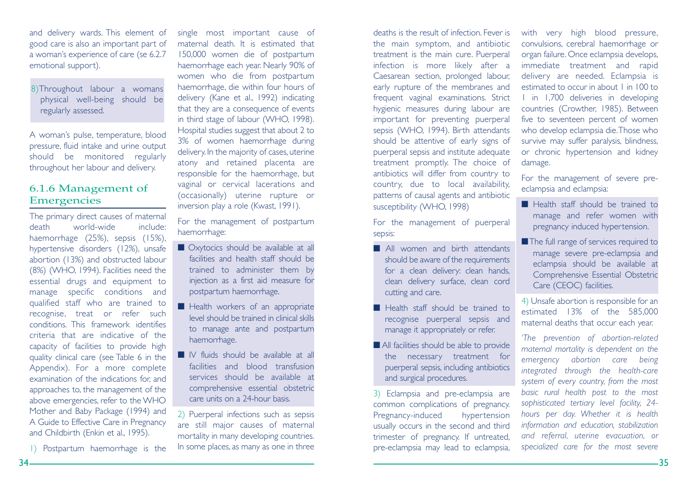and delivery wards. This element of good care is also an important part of a woman's experience of care (se 6.2.7 emotional support).

8)Throughout labour a womans physical well-being should be regularly assessed.

A woman's pulse, temperature, blood pressure, fluid intake and urine output should be monitored regularly throughout her labour and delivery.

### 6.1.6 Management of Emergencies

The primary direct causes of maternal death world-wide include:haemorrhage (25%), sepsis (15%), hypertensive disorders (12%), unsafe abortion (13%) and obstructed labour (8%) (WHO, 1994). Facilities need the essential drugs and equipment to manage specific conditions and qualified staff who are trained to recognise, treat or refer such conditions. This framework identifiescriteria that are indicative of thecapacity of facilities to provide high quality clinical care (see Table 6 in the Appendix). For a more complete examination of the indications for, and approaches to, the management of the above emergencies, refer to the WHO Mother and Baby Package (1994) and A Guide to Effective Care in Pregnancy and Childbirth (Enkin et al., 1995).

1) Postpartum haemorrhage is the

single most important cause of maternal death. It is estimated that150,000 women die of postpartum haemorrhage each year. Nearly 90% of women who die from postpartum haemorrhage, die within four hours of delivery (Kane et al., 1992) indicating that they are a consequence of events in third stage of labour (WHO, 1998). Hospital studies suggest that about 2 to 3% of women haemorrhage during delivery. In the majority of cases, uterine atony and retained placenta are responsible for the haemorrhage, but vaginal or cervical lacerations and (occasionally) uterine rupture or inversion play a role (Kwast, 1991).

For the management of postpartum haemorrhage:

- Oxytocics should be available at all facilities and health staff should betrained to administer them by injection as a first aid measure for postpartum haemorrhage.
- Health workers of an appropriate level should be trained in clinical skillsto manage ante and postpartum haemorrhage.
- IV fluids should be available at all facilities and blood transfusionservices should be available atcomprehensive essential obstetric care units on a 24-hour basis.

2) Puerperal infections such as sepsis are still major causes of maternal mortality in many developing countries. In some places, as many as one in three

deaths is the result of infection. Fever isthe main symptom, and antibiotic treatment is the main cure. Puerperal infection is more likely after a Caesarean section, prolonged labour, early rupture of the membranes and frequent vaginal examinations. Strict hygienic measures during labour are important for preventing puerperal sepsis (WHO, 1994). Birth attendants should be attentive of early signs of puerperal sepsis and institute adequate treatment promptly. The choice of antibiotics will differ from country to country, due to local availability, patterns of causal agents and antibiotic susceptibility (WHO, 1998)

For the management of puerperal sepsis:

- All women and birth attendants should be aware of the requirements for a clean delivery: clean hands, clean delivery surface, clean cord cutting and care.
- Health staff should be trained to recognise puerperal sepsis and manage it appropriately or refer.
- All facilities should be able to provide the necessary treatment for puerperal sepsis, including antibiotics and surgical procedures.

3) Eclampsia and pre-eclampsia are common complications of pregnancy. Pregnancy-induced hypertension usually occurs in the second and third trimester of pregnancy. If untreated, pre-eclampsia may lead to eclampsia,

with very high blood pressure, convulsions, cerebral haemorrhage or organ failure. Once eclampsia develops, immediate treatment and rapid delivery are needed. Eclampsia is estimated to occur in about 1 in 100 to1 in 1,700 deliveries in developing countries (Crowther, 1985). Between five to seventeen percent of women who develop eclampsia die.Those who survive may suffer paralysis, blindness, or chronic hypertension and kidney damage.

For the management of severe preeclampsia and eclampsia:

- Health staff should be trained to manage and refer women with pregnancy induced hypertension.
- ■The full range of services required to manage severe pre-eclampsia and eclampsia should be available at Comprehensive Essential Obstetric Care (CEOC) facilities.

4) Unsafe abortion is responsible for an estimated 13% of the 585,000 maternal deaths that occur each year.

*'The prevention of abortion-related maternal mortality is dependent on the emergency abortion care being integrated through the health-care system of every country, from the most basic rural health post to the most sophisticated tertiary level facility, 24 hours per day. Whether it is health information and education, stabilization and referral, uterine evacuation, or specialized care for the most severe*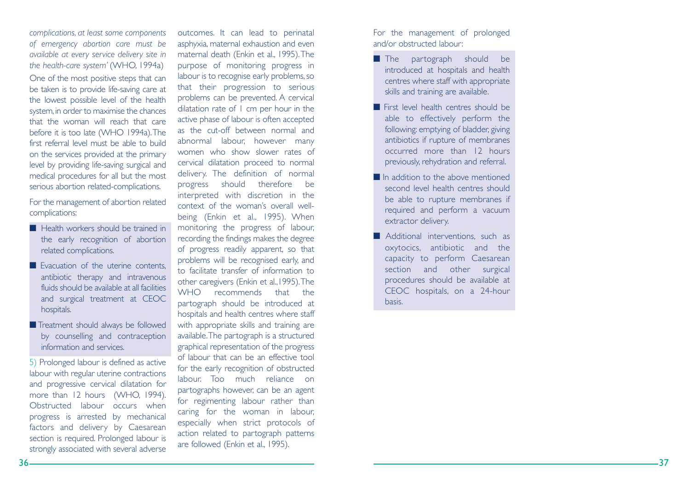*complications, at least some components of emergency abortion care must be available at every service delivery site in the health-care system'* (WHO, 1994a) One of the most positive steps that can be taken is to provide life-saving care at the lowest possible level of the health system,in order to maximise the chances that the woman will reach that carebefore it is too late (WHO 1994a).The first referral level must be able to buildon the services provided at the primary level by providing life-saving surgical and medical procedures for all but the most serious abortion related-complications.

For the management of abortion related complications:

- Health workers should be trained in the early recognition of abortion related complications.
- Evacuation of the uterine contents, antibiotic therapy and intravenous fluids should be available at all facilitiesand surgical treatment at CEOC hospitals.
- Treatment should always be followed by counselling and contraception information and services.

5) Prolonged labour is defined as active labour with regular uterine contractions and progressive cervical dilatation for more than 12 hours (WHO, 1994). Obstructed labour occurs whenprogress is arrested by mechanical factors and delivery by Caesarean section is required. Prolonged labour is strongly associated with several adverse

outcomes. It can lead to perinatal asphyxia, maternal exhaustion and even maternal death (Enkin et al., 1995).The purpose of monitoring progress in labour is to recognise early problems, so that their progression to serious problems can be prevented. A cervical dilatation rate of 1 cm per hour in the active phase of labour is often accepted as the cut-off between normal andabnormal labour, however many women who show slower rates ofcervical dilatation proceed to normal delivery. The definition of normal progress should therefore be interpreted with discretion in the context of the woman's overall wellbeing (Enkin et al., 1995). When monitoring the progress of labour, recording the findings makes the degree of progress readily apparent, so that problems will be recognised early, and to facilitate transfer of information toother caregivers (Enkin et al.,1995).The WHO recommends that thepartograph should be introduced at hospitals and health centres where staff with appropriate skills and training are available.The partograph is a structured graphical representation of the progress of labour that can be an effective tool for the early recognition of obstructed labour. Too much reliance onpartographs however, can be an agent for regimenting labour rather than caring for the woman in labour, especially when strict protocols of action related to partograph patterns are followed (Enkin et al., 1995).

For the management of prolonged and/or obstructed labour:

- The partograph should be introduced at hospitals and health centres where staff with appropriate skills and training are available.
- First level health centres should be able to effectively perform the following: emptying of bladder, giving antibiotics if rupture of membranes occurred more than 12 hourspreviously, rehydration and referral.
- In addition to the above mentioned second level health centres shouldbe able to rupture membranes if required and perform a vacuum extractor delivery.
- Additional interventions, such as oxytocics, antibiotic and the capacity to perform Caesarean section and other surgical procedures should be available at CEOC hospitals, on a 24-hour basis.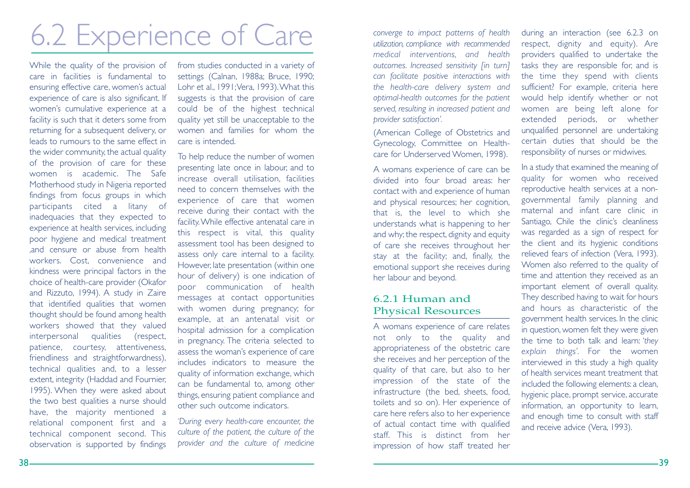# 6.2 Experience of Care

While the quality of the provision of care in facilities is fundamental toensuring effective care, women's actual experience of care is also significant. If women's cumulative experience at a facility is such that it deters some from returning for a subsequent delivery, or leads to rumours to the same effect inthe wider community, the actual quality of the provision of care for these women is academic. The SafeMotherhood study in Nigeria reported findings from focus groups in which participants cited a litany of inadequacies that they expected to experience at health services, including poor hygiene and medical treatment ,and censure or abuse from health workers. Cost, convenience and kindness were principal factors in the choice of health-care provider (Okafor and Rizzuto, 1994). A study in Zaire that identified qualities that women thought should be found among health workers showed that they valued interpersonal qualities (respect, patience, courtesy, attentiveness, friendliness and straightforwardness), technical qualities and, to a lesser extent, integrity (Haddad and Fournier, 1995). When they were asked about the two best qualities a nurse should have, the majority mentioned a relational component first and a technical component second. This observation is supported by findings

from studies conducted in a variety of settings (Calnan, 1988a; Bruce, 1990; Lohr et al., 1991; Vera, 1993). What this suggests is that the provision of care could be of the highest technical quality yet still be unacceptable to the women and families for whom thecare is intended.

To help reduce the number of women presenting late once in labour, and to increase overall utilisation, facilities need to concern themselves with theexperience of care that women receive during their contact with the facility.While effective antenatal care in this respect is vital, this quality assessment tool has been designed to assess only care internal to a facility. However, late presentation (within one hour of delivery) is one indication of poor communication of health messages at contact opportunities with women during pregnancy; for example, at an antenatal visit or hospital admission for a complication in pregnancy. The criteria selected to assess the woman's experience of care includes indicators to measure thequality of information exchange, which can be fundamental to, among other things, ensuring patient compliance and other such outcome indicators.

*'During every health-care encounter, the culture of the patient, the culture of the provider and the culture of medicine* *converge to impact patterns of health utilization, compliance with recommended medical interventions, and health outcomes. Increased sensitivity [in turn] can facilitate positive interactions with the health-care delivery system and optimal-health outcomes for the patient served, resulting in increased patient and provider satisfaction'.*

(American College of Obstetrics and Gynecology, Committee on Healthcare for Underserved Women, 1998).

A womans experience of care can be divided into four broad areas: hercontact with and experience of human and physical resources; her cognition, that is, the level to which she understands what is happening to her and why; the respect, dignity and equity of care she receives throughout her stay at the facility; and, finally, the emotional support she receives during her labour and beyond.

### 6.2.1 Human andPhysical Resources

A womans experience of care relates not only to the quality and appropriateness of the obstetric care she receives and her perception of the quality of that care, but also to her impression of the state of the infrastructure (the bed, sheets, food, toilets and so on). Her experience of care here refers also to her experience of actual contact time with qualified staff. This is distinct from herimpression of how staff treated her

during an interaction (see 6.2.3 on respect, dignity and equity). Are providers qualified to undertake the tasks they are responsible for, and is the time they spend with clients sufficient? For example, criteria here would help identify whether or not women are being left alone for extended periods, or whether unqualified personnel are undertaking certain duties that should be theresponsibility of nurses or midwives.

In a study that examined the meaning of quality for women who received reproductive health services at a nongovernmental family planning and maternal and infant care clinic inSantiago, Chile the clinic's cleanliness was regarded as a sign of respect for the client and its hygienic conditions relieved fears of infection (Vera, 1993). Women also referred to the quality of time and attention they received as an important element of overall quality. They described having to wait for hours and hours as characteristic of thegovernment health services. In the clinic in question, women felt they were given the time to both talk and learn: '*they explain things'*. For the women interviewed in this study a high quality of health services meant treatment thatincluded the following elements: a clean, hygienic place, prompt service, accurate information, an opportunity to learn, and enough time to consult with staff and receive advice (Vera, 1993).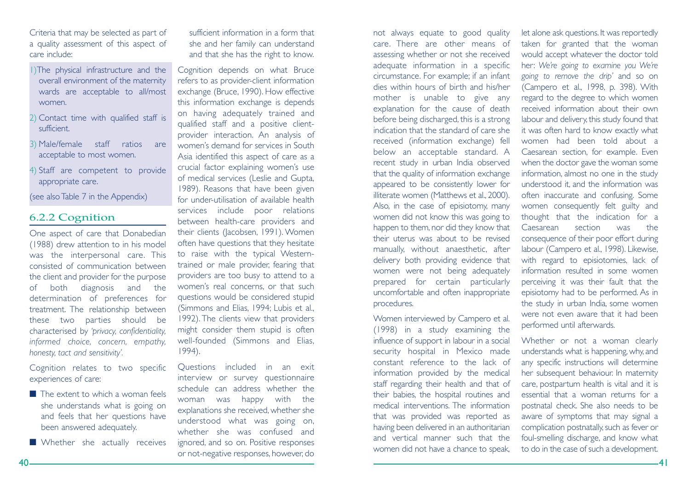Criteria that may be selected as part of a quality assessment of this aspect of care include:

- 1)The physical infrastructure and the overall environment of the maternity wards are acceptable to all/most women.
- 2) Contact time with qualified staff is sufficient.
- 3) Male/female staff ratios are acceptable to most women.
- 4) Staff are competent to provide appropriate care.

(see also Table 7 in the Appendix)

### 6.2.2 Cognition

One aspect of care that Donabedian (1988) drew attention to in his model was the interpersonal care. This consisted of communication betweenthe client and provider for the purpose of both diagnosis and the determination of preferences for treatment. The relationship between these two parties should be characterised by *'privacy, confidentiality, informed choice, concern, empathy, honesty, tact and sensitivity'.*

Cognition relates to two specific experiences of care:

- The extent to which a woman feels she understands what is going on and feels that her questions have been answered adequately.
- Whether she actually receives

sufficient information in a form thatshe and her family can understand and that she has the right to know.

Cognition depends on what Bruce refers to as provider-client information exchange (Bruce, 1990). How effective this information exchange is depends on having adequately trained and qualified staff and a positive clientprovider interaction. An analysis of women's demand for services in SouthAsia identified this aspect of care as a crucial factor explaining women's use of medical services (Leslie and Gupta, 1989). Reasons that have been given for under-utilisation of available healthservices include poor relations between health-care providers and their clients (Jacobsen, 1991). Women often have questions that they hesitate to raise with the typical Westerntrained or male provider, fearing that providers are too busy to attend to a women's real concerns, or that such questions would be considered stupid (Simmons and Elias, 1994; Lubis et al., 1992). The clients view that providers might consider them stupid is often well-founded (Simmons and Elias, 1994).

Questions included in an exit interview or survey questionnaire schedule can address whether thewoman was happy with the explanations she received, whether she understood what was going on, whether she was confused andignored, and so on. Positive responses or not-negative responses, however, do

care. There are other means ofassessing whether or not she received adequate information in a specific circumstance. For example; if an infant dies within hours of birth and his/hermother is unable to give any explanation for the cause of death before being discharged, this is a strong indication that the standard of care shereceived (information exchange) fell below an acceptable standard. A recent study in urban India observed that the quality of information exchange appeared to be consistently lower for illiterate women (Matthews et al., 2000). Also, in the case of episiotomy, many women did not know this was going to happen to them, nor did they know that their uterus was about to be revised manually, without anaesthetic, after delivery both providing evidence that women were not being adequately prepared for certain particularly uncomfortable and often inappropriate procedures.

not always equate to good quality

Women interviewed by Campero et al. (1998) in a study examining the influence of support in labour in a social security hospital in Mexico made constant reference to the lack ofinformation provided by the medical staff regarding their health and that of their babies, the hospital routines and medical interventions. The informationthat was provided was reported as having been delivered in an authoritarian and vertical manner such that thewomen did not have a chance to speak,

taken for granted that the woman would accept whatever the doctor told her: *We're going to examine you We're going to remove the drip'* and so on (Campero et al., 1998, p. 398). With regard to the degree to which women received information about their ownlabour and delivery, this study found that it was often hard to know exactly what women had been told about aCaesarean section, for example. Even when the doctor gave the woman some information, almost no one in the study understood it, and the information was often inaccurate and confusing. Some women consequently felt guilty and thought that the indication for a Caesarean section was theconsequence of their poor effort during labour (Campero et al., 1998). Likewise, with regard to episiotomies, lack of information resulted in some womenperceiving it was their fault that the episiotomy had to be performed. As in the study in urban India, some women were not even aware that it had beenperformed until afterwards.

let alone ask questions. It was reportedly

Whether or not a woman clearly understands what is happening, why, and any specific instructions will determine her subsequent behaviour. In maternity care, postpartum health is vital and it is essential that a woman returns for apostnatal check. She also needs to be aware of symptoms that may signal a complication postnatally, such as fever or foul-smelling discharge, and know what to do in the case of such a development.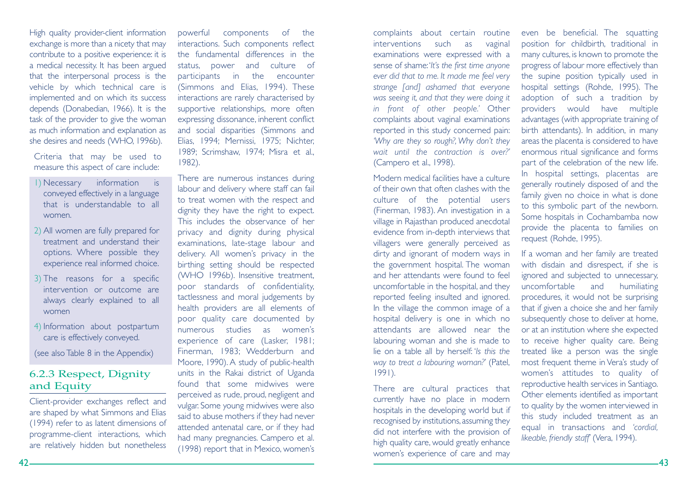High quality provider-client information exchange is more than a nicety that may contribute to a positive experience: it is a medical necessity. It has been argued that the interpersonal process is the vehicle by which technical care is implemented and on which its success depends (Donabedian, 1966). It is the task of the provider to give the woman as much information and explanation as she desires and needs (WHO, 1996b).

Criteria that may be used to measure this aspect of care include:

- 1) Necessary information is conveyed effectively in a language that is understandable to allwomen.
- 2) All women are fully prepared for treatment and understand theiroptions. Where possible they experience real informed choice.
- 3) The reasons for a specific intervention or outcome are always clearly explained to all women
- 4) Information about postpartum care is effectively conveyed.

(see also Table 8 in the Appendix)

### 6.2.3 Respect, Dignity and Equity

Client-provider exchanges reflect and are shaped by what Simmons and Elias (1994) refer to as latent dimensions of programme-client interactions, which are relatively hidden but nonetheless

powerful components of the interactions. Such components reflect the fundamental differences in thestatus, power and culture of participants in the encounter (Simmons and Elias, 1994). These interactions are rarely characterised by supportive relationships, more often expressing dissonance, inherent conflict and social disparities (Simmons and Elias, 1994; Mernissi, 1975; Nichter, 1989; Scrimshaw, 1974; Misra et al., 1982).

There are numerous instances during labour and delivery where staff can fail to treat women with the respect and dignity they have the right to expect. This includes the observance of herprivacy and dignity during physical examinations, late-stage labour and delivery. All women's privacy in the birthing setting should be respected (WHO 1996b). Insensitive treatment, poor standards of confidentiality, tactlessness and moral judgements by health providers are all elements of poor quality care documented by numerous studies as women'sexperience of care (Lasker, 1981; Finerman, 1983; Wedderburn and Moore, 1990). A study of public-health units in the Rakai district of Uganda found that some midwives wereperceived as rude, proud, negligent and vulgar. Some young midwives were also said to abuse mothers if they had never attended antenatal care, or if they had had many pregnancies. Campero et al. (1998) report that in Mexico, women's

complaints about certain routine interventions such as vaginal examinations were expressed with a sense of shame:'*It's the first time anyone ever did that to me. It made me feel very strange [and] ashamed that everyone was seeing it, and that they were doing it in front of other people.'* Other complaints about vaginal examinations reported in this study concerned pain: *'Why are they so rough?, Why don't they wait until the contraction is over?'*(Campero et al., 1998).

Modern medical facilities have a cultureof their own that often clashes with theculture of the potential users (Finerman, 1983). An investigation in a village in Rajasthan produced anecdotal evidence from in-depth interviews that villagers were generally perceived as dirty and ignorant of modern ways in the government hospital. The woman and her attendants were found to feeluncomfortable in the hospital, and they reported feeling insulted and ignored. In the village the common image of a hospital delivery is one in which no attendants are allowed near thelabouring woman and she is made to lie on a table all by herself: '*Is this the way to treat a labouring woman?'* (Patel, 1991).

There are cultural practices that currently have no place in modern hospitals in the developing world but if recognised by institutions, assuming they did not interfere with the provision of high quality care, would greatly enhance women's experience of care and may

even be beneficial. The squatting position for childbirth, traditional in many cultures, is known to promote the progress of labour more effectively than the supine position typically used in hospital settings (Rohde, 1995). The adoption of such a tradition by providers would have multiple advantages (with appropriate training of birth attendants). In addition, in many areas the placenta is considered to have enormous ritual significance and forms part of the celebration of the new life. In hospital settings, placentas are generally routinely disposed of and the family given no choice in what is done to this symbolic part of the newborn. Some hospitals in Cochambamba now provide the placenta to families on request (Rohde, 1995).

If a woman and her family are treated with disdain and disrespect, if she is ignored and subjected to unnecessary, uncomfortable and humiliating procedures, it would not be surprising that if given a choice she and her family subsequently chose to deliver at home, or at an institution where she expected to receive higher quality care. Being treated like a person was the single most frequent theme in Vera's study of women's attitudes to quality of reproductive health services in Santiago. Other elements identified as important to quality by the women interviewed in this study included treatment as an equal in transactions and *'cordial, likeable, friendly staff*' (Vera, 1994).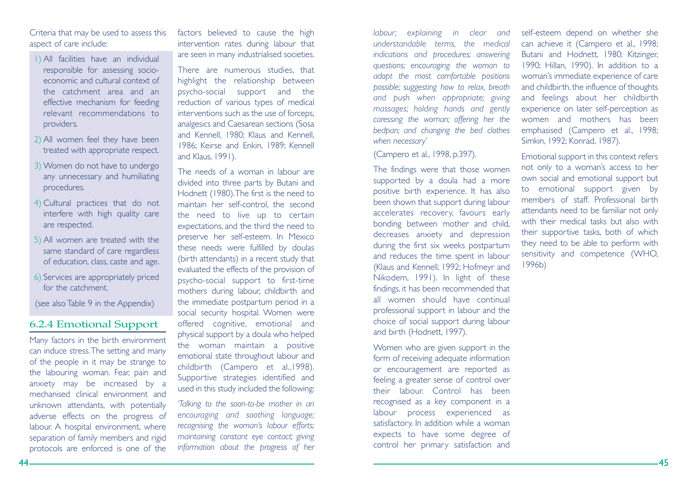Criteria that may be used to assess this aspect of care include:

- 1) All facilities have an individual responsible for assessing socioeconomic and cultural context ofthe catchment area and aneffective mechanism for feeding relevant recommendations toproviders.
- 2) All women feel they have been treated with appropriate respect.
- 3) Women do not have to undergo any unnecessary and humiliating procedures.
- 4) Cultural practices that do not interfere with high quality care are respected.
- 5) All women are treated with the same standard of care regardless of education, class, caste and age.
- 6) Services are appropriately priced for the catchment.

(see also Table 9 in the Appendix)

### 6.2.4 Emotional Support

Many factors in the birth environment can induce stress.The setting and many of the people in it may be strange to the labouring woman. Fear, pain and anxiety may be increased by a mechanised clinical environment andunknown attendants, with potentially adverse effects on the progress of labour. A hospital environment, where separation of family members and rigid protocols are enforced is one of the

factors believed to cause the high intervention rates during labour that are seen in many industrialised societies.

There are numerous studies, that highlight the relationship between psycho-social support and the reduction of various types of medical interventions such as the use of forceps, analgesics and Caesarean sections (Sosa and Kennell, 1980; Klaus and Kennell, 1986; Keirse and Enkin, 1989; Kennell and Klaus, 1991).

The needs of a woman in labour aredivided into three parts by Butani and Hodnett (1980).The first is the need to maintain her self-control, the second the need to live up to certain expectations, and the third the need to preserve her self-esteem. In Mexico these needs were fulfilled by doulas (birth attendants) in a recent study that evaluated the effects of the provision of psycho-social support to first-time mothers during labour, childbirth and the immediate postpartum period in a social security hospital. Women were offered cognitive, emotional and physical support by a doula who helped the woman maintain a positive emotional state throughout labour and childbirth (Campero et al.,1998). Supportive strategies identified and used in this study included the following:

*'Talking to the soon-to-be mother in an encouraging and soothing language; recognising the woman's labour efforts; maintaining constant eye contact; giving information about the progress of her*

*labour; explaining in clear and understandable terms, the medical indications and procedures; answering questions; encouraging the woman to adopt the most comfortable positions possible; suggesting how to relax, breath and push when appropriate; giving massages; holding hands and gently caressing the woman; offering her the bedpan; and changing the bed clothes when necessary'*

(Campero et al., 1998, p.397).

The findings were that those women supported by a doula had a more positive birth experience. It has also been shown that support during labour accelerates recovery, favours early bonding between mother and child, decreases anxiety and depression during the first six weeks postpartum and reduces the time spent in labour (Klaus and Kennell, 1992; Hofmeyr and Nikodem, 1991). In light of these findings, it has been recommended that all women should have continualprofessional support in labour and the choice of social support during labour and birth (Hodnett, 1997).

Women who are given support in the form of receiving adequate information or encouragement are reported as feeling a greater sense of control over their labour. Control has beenrecognised as a key component in a labour process experienced as satisfactory. In addition while a woman expects to have some degree of control her primary satisfaction and

self-esteem depend on whether she can achieve it (Campero et al., 1998; Butani and Hodnett, 1980; Kitzinger, 1990; Hillan, 1990). In addition to a woman's immediate experience of care and childbirth, the influence of thoughts and feelings about her childbirth experience on later self-perception as women and mothers has beenemphasised (Campero et al., 1998; Simkin, 1992; Konrad, 1987).

Emotional support in this context refers not only to a woman's access to her own social and emotional support but to emotional support given by members of staff. Professional birthattendants need to be familiar not only with their medical tasks but also with their supportive tasks, both of which they need to be able to perform with sensitivity and competence (WHO, 1996b)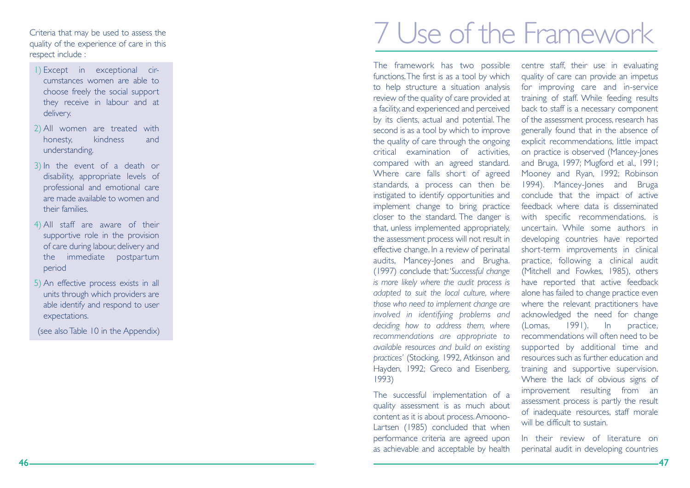Criteria that may be used to assess the quality of the experience of care in this respect include :

- 1) Except in exceptional circumstances women are able tochoose freely the social support they receive in labour and at delivery.
- 2) All women are treated with honesty. kindness and understanding.
- 3) In the event of a death or disability, appropriate levels of professional and emotional care are made available to women andtheir families.
- 4) All staff are aware of their supportive role in the provision of care during labour, delivery and the immediate postpartum period
- 5) An effective process exists in all units through which providers are able identify and respond to user expectations.

(see also Table 10 in the Appendix)

# 7 Use of the Framework

The framework has two possible functions.The first is as a tool by which to help structure a situation analysis review of the quality of care provided at a facility, and experienced and perceived by its clients, actual and potential. The second is as a tool by which to improve the quality of care through the ongoing critical examination of activities, compared with an agreed standard. Where care falls short of agreed standards, a process can then be instigated to identify opportunities and implement change to bring practice closer to the standard. The danger is that, unless implemented appropriately, the assessment process will not result in effective change. In a review of perinatal audits, Mancey-Jones and Brugha. (1997) conclude that: '*Successful change is more likely where the audit process is adapted to suit the local culture, where those who need to implement change are involved in identifying problems and deciding how to address them, where recommendations are appropriate to available resources and build on existing practices'* (Stocking, 1992, Atkinson and Hayden, 1992; Greco and Eisenberg, 1993)

The successful implementation of a quality assessment is as much about content as it is about process.Amoono-Lartsen (1985) concluded that when performance criteria are agreed upon as achievable and acceptable by health

centre staff, their use in evaluating quality of care can provide an impetus for improving care and in-service training of staff. While feeding results back to staff is a necessary component of the assessment process, research has generally found that in the absence of explicit recommendations, little impact on practice is observed (Mancey-Jones and Bruga, 1997; Mugford et al., 1991; Mooney and Ryan, 1992; Robinson 1994). Mancey-Jones and Bruga conclude that the impact of active feedback where data is disseminatedwith specific recommendations, is uncertain. While some authors in developing countries have reported short-term improvements in clinical practice, following a clinical audit (Mitchell and Fowkes, 1985), others have reported that active feedback alone has failed to change practice even where the relevant practitioners have acknowledged the need for change (Lomas, 1991). In practice, recommendations will often need to besupported by additional time and resources such as further education and training and supportive supervision. Where the lack of obvious signs of improvement resulting from an assessment process is partly the result of inadequate resources, staff morale will be difficult to sustain.

In their review of literature onperinatal audit in developing countries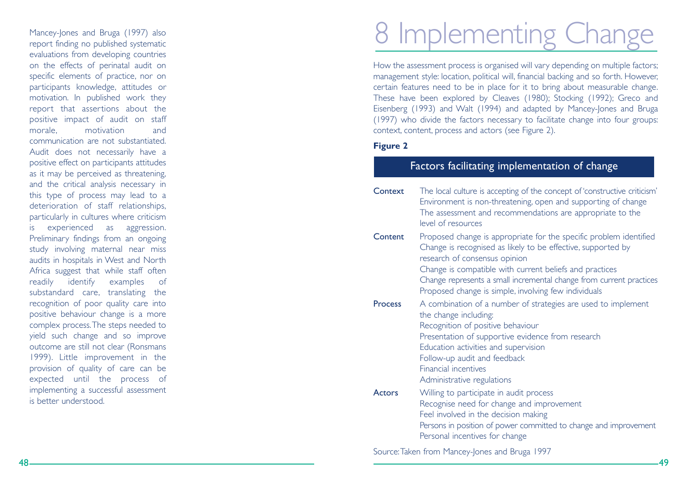Mancey-Jones and Bruga (1997) also report finding no published systematic evaluations from developing countries on the effects of perinatal audit on specific elements of practice, nor on participants knowledge, attitudes or motivation. In published work they report that assertions about the positive impact of audit on staff morale, motivation and communication are not substantiated.Audit does not necessarily have a positive effect on participants attitudes as it may be perceived as threatening, and the critical analysis necessary in this type of process may lead to a deterioration of staff relationships, particularly in cultures where criticism is experienced as aggression. Preliminary findings from an ongoing study involving maternal near miss audits in hospitals in West and North Africa suggest that while staff often readily identify examples of substandard care, translating the recognition of poor quality care into positive behaviour change is a more complex process.The steps needed to yield such change and so improve outcome are still not clear (Ronsmans 1999). Little improvement in the provision of quality of care can be expected until the process of implementing a successful assessment is better understood.

# 8 Implementing Change

How the assessment process is organised will vary depending on multiple factors; management style: location, political will, financial backing and so forth. However, certain features need to be in place for it to bring about measurable change. These have been explored by Cleaves (1980); Stocking (1992); Greco and Eisenberg (1993) and Walt (1994) and adapted by Mancey-Jones and Bruga (1997) who divide the factors necessary to facilitate change into four groups: context, content, process and actors (see Figure 2).

### **Figure 2**

### Factors facilitating implementation of change

**Context**  The local culture is accepting of the concept of 'constructive criticism' Environment is non-threatening, open and supporting of change The assessment and recommendations are appropriate to the level of resources**Content**  Proposed change is appropriate for the specific problem identified Change is recognised as likely to be effective, supported by research of consensus opinion Change is compatible with current beliefs and practices Change represents a small incremental change from current practices Proposed change is simple, involving few individuals **Process**  A combination of a number of strategies are used to implement the change including: Recognition of positive behaviour Presentation of supportive evidence from research Education activities and supervision Follow-up audit and feedback Financial incentivesAdministrative regulations **Actors**  Willing to participate in audit process Recognise need for change and improvement Feel involved in the decision making Persons in position of power committed to change and improvement Personal incentives for change

Source:Taken from Mancey-Jones and Bruga 1997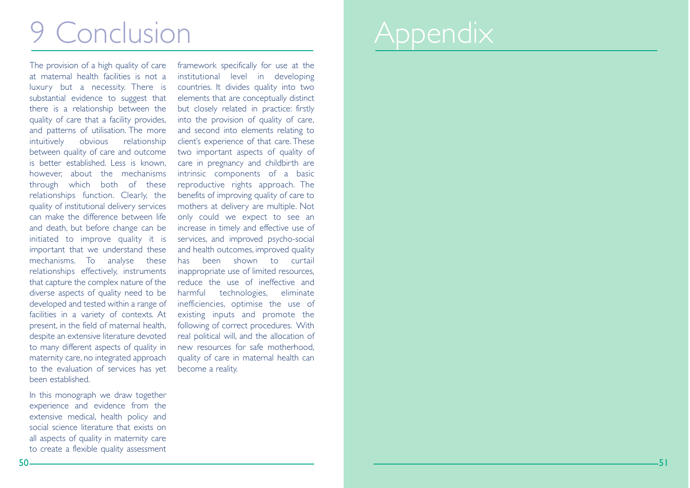# 9 Conclusion

The provision of a high quality of care at maternal health facilities is not aluxury but a necessity. There is substantial evidence to suggest that there is a relationship between the quality of care that a facility provides, and patterns of utilisation. The more intuitively obvious relationship between quality of care and outcome is better established. Less is known, however, about the mechanisms through which both of these relationships function. Clearly, the quality of institutional delivery services can make the difference between lifeand death, but before change can be initiated to improve quality it is important that we understand these mechanisms. To analyse these relationships effectively, instruments that capture the complex nature of the diverse aspects of quality need to be developed and tested within a range of facilities in a variety of contexts. At present, in the field of maternal health, despite an extensive literature devoted to many different aspects of quality in maternity care, no integrated approach to the evaluation of services has yet been established.

In this monograph we draw together experience and evidence from the extensive medical, health policy and social science literature that exists onall aspects of quality in maternity care to create a flexible quality assessment framework specifically for use at the institutional level in developing countries. It divides quality into two elements that are conceptually distinct but closely related in practice: firstly into the provision of quality of care, and second into elements relating to client's experience of that care. These two important aspects of quality of care in pregnancy and childbirth are intrinsic components of a basic reproductive rights approach. The benefits of improving quality of care to mothers at delivery are multiple. Not only could we expect to see an increase in timely and effective use of services, and improved psycho-social and health outcomes, improved quality has been shown to curtailinappropriate use of limited resources, reduce the use of ineffective and harmful technologies, eliminate inefficiencies, optimise the use of existing inputs and promote the following of correct procedures. With real political will, and the allocation of new resources for safe motherhood, quality of care in maternal health can become a reality.

# **Appendix**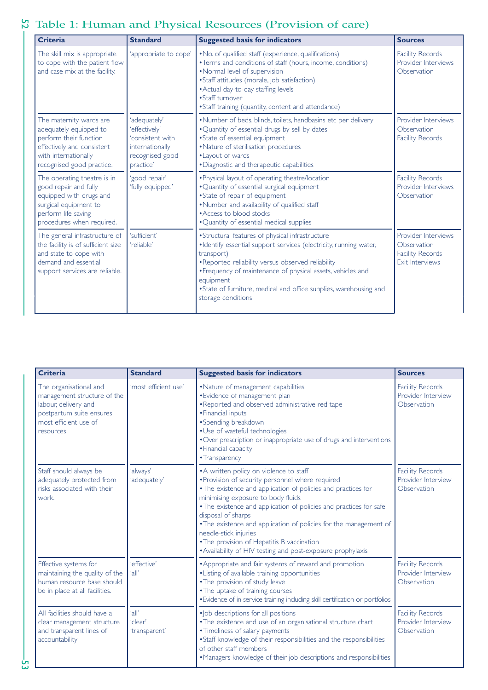# 53 52 Table 1: Human and Physical Resources (Provision of care)

| <b>Criteria</b>                                                                                                                                                | <b>Standard</b>                                                                                      | <b>Suggested basis for indicators</b>                                                                                                                                                                                                                                                                                                                             | <b>Sources</b>                                                                          |
|----------------------------------------------------------------------------------------------------------------------------------------------------------------|------------------------------------------------------------------------------------------------------|-------------------------------------------------------------------------------------------------------------------------------------------------------------------------------------------------------------------------------------------------------------------------------------------------------------------------------------------------------------------|-----------------------------------------------------------------------------------------|
| The skill mix is appropriate<br>to cope with the patient flow<br>and case mix at the facility.                                                                 | 'appropriate to cope'                                                                                | • No. of qualified staff (experience, qualifications)<br>• Terms and conditions of staff (hours, income, conditions)<br>•Normal level of supervision<br>• Staff attitudes (morale, job satisfaction)<br>• Actual day-to-day staffing levels<br>• Staff turnover<br>• Staff training (quantity, content and attendance)                                            | <b>Facility Records</b><br>Provider Interviews<br>Observation                           |
| The maternity wards are<br>adequately equipped to<br>perform their function<br>effectively and consistent<br>with internationally<br>recognised good practice. | 'adequately'<br>'effectively'<br>'consistent with<br>internationally<br>recognised good<br>practice' | •Number of beds, blinds, toilets, handbasins etc per delivery<br>. Quantity of essential drugs by sell-by dates<br>• State of essential equipment<br>• Nature of sterilisation procedures<br>• Layout of wards<br>·Diagnostic and therapeutic capabilities                                                                                                        | Provider Interviews<br>Observation<br><b>Facility Records</b>                           |
| The operating theatre is in<br>good repair and fully<br>equipped with drugs and<br>surgical equipment to<br>perform life saving<br>procedures when required.   | 'good repair'<br>'fully equipped'                                                                    | . Physical layout of operating theatre/location<br>· Quantity of essential surgical equipment<br>• State of repair of equipment<br>. Number and availability of qualified staff<br>• Access to blood stocks<br>• Quantity of essential medical supplies                                                                                                           | <b>Facility Records</b><br>Provider Interviews<br>Observation                           |
| The general infrastructure of<br>the facility is of sufficient size<br>and state to cope with<br>demand and essential<br>support services are reliable.        | 'sufficient'<br>'reliable'                                                                           | • Structural features of physical infrastructure<br>·Identify essential support services (electricity, running water,<br>transport)<br>. Reported reliability versus observed reliability<br>• Frequency of maintenance of physical assets, vehicles and<br>equipment<br>• State of furniture, medical and office supplies, warehousing and<br>storage conditions | Provider Interviews<br>Observation<br><b>Facility Records</b><br><b>Exit Interviews</b> |

| <b>Criteria</b>                                                                                                                                 | <b>Standard</b>                   | <b>Suggested basis for indicators</b>                                                                                                                                                                                                                                                                                                                                                                                                                                                                     | <b>Sources</b>                                               |
|-------------------------------------------------------------------------------------------------------------------------------------------------|-----------------------------------|-----------------------------------------------------------------------------------------------------------------------------------------------------------------------------------------------------------------------------------------------------------------------------------------------------------------------------------------------------------------------------------------------------------------------------------------------------------------------------------------------------------|--------------------------------------------------------------|
| The organisational and<br>management structure of the<br>labour, delivery and<br>postpartum suite ensures<br>most efficient use of<br>resources | 'most efficient use'              | • Nature of management capabilities<br>· Evidence of management plan<br>. Reported and observed administrative red tape<br>• Financial inputs<br>• Spending breakdown<br>• Use of wasteful technologies<br>. Over prescription or inappropriate use of drugs and interventions<br>· Financial capacity<br>• Transparency                                                                                                                                                                                  | <b>Facility Records</b><br>Provider Interview<br>Observation |
| Staff should always be<br>adequately protected from<br>risks associated with their<br>work.                                                     | 'always'<br>'adequately'          | • A written policy on violence to staff<br>. Provision of security personnel where required<br>. The existence and application of policies and practices for<br>minimising exposure to body fluids<br>• The existence and application of policies and practices for safe<br>disposal of sharps<br>. The existence and application of policies for the management of<br>needle-stick injuries<br>• The provision of Hepatitis B vaccination<br>• Availability of HIV testing and post-exposure prophylaxis | <b>Facility Records</b><br>Provider Interview<br>Observation |
| Effective systems for<br>maintaining the quality of the<br>human resource base should<br>be in place at all facilities.                         | 'effective'<br>'all'              | • Appropriate and fair systems of reward and promotion<br>· Listing of available training opportunities<br>. The provision of study leave<br>• The uptake of training courses<br>• Evidence of in-service training including skill certification or portfolios                                                                                                                                                                                                                                            | <b>Facility Records</b><br>Provider Interview<br>Observation |
| All facilities should have a<br>clear management structure<br>and transparent lines of<br>accountability                                        | 'all'<br>'clear'<br>'transparent' | · Job descriptions for all positions<br>. The existence and use of an organisational structure chart<br>• Timeliness of salary payments<br>• Staff knowledge of their responsibilities and the responsibilities<br>of other staff members<br>•Managers knowledge of their job descriptions and responsibilities                                                                                                                                                                                           | <b>Facility Records</b><br>Provider Interview<br>Observation |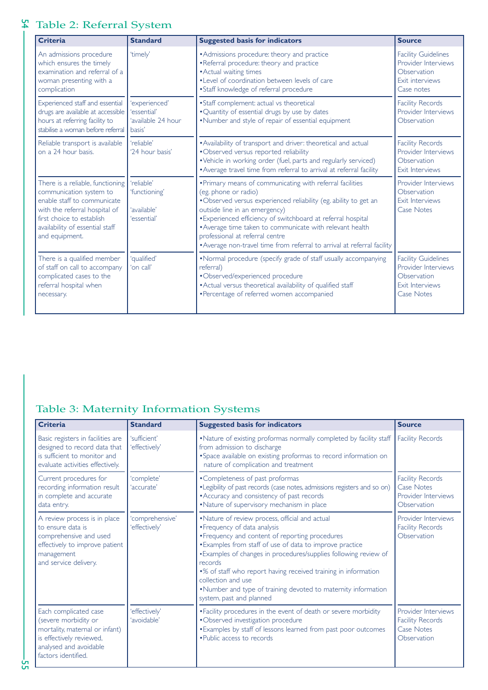# 55 54 Table 2: Referral System

| <b>Criteria</b>                                                                                                                                                                                               | <b>Standard</b>                                              | <b>Suggested basis for indicators</b>                                                                                                                                                                                                                                                                                                                                                                                            | <b>Source</b>                                                                                            |
|---------------------------------------------------------------------------------------------------------------------------------------------------------------------------------------------------------------|--------------------------------------------------------------|----------------------------------------------------------------------------------------------------------------------------------------------------------------------------------------------------------------------------------------------------------------------------------------------------------------------------------------------------------------------------------------------------------------------------------|----------------------------------------------------------------------------------------------------------|
| An admissions procedure<br>which ensures the timely<br>examination and referral of a<br>woman presenting with a<br>complication                                                                               | 'timely'                                                     | • Admissions procedure: theory and practice<br>•Referral procedure: theory and practice<br>• Actual waiting times<br>• Level of coordination between levels of care<br>• Staff knowledge of referral procedure                                                                                                                                                                                                                   | <b>Facility Guidelines</b><br>Provider Interviews<br>Observation<br>Exit interviews<br>Case notes        |
| Experienced staff and essential<br>drugs are available at accessible<br>hours at referring facility to<br>stabilise a woman before referral                                                                   | 'experienced'<br>'essential'<br>'available 24 hour<br>basis' | • Staff complement: actual vs theoretical<br>. Quantity of essential drugs by use by dates<br>•Number and style of repair of essential equipment                                                                                                                                                                                                                                                                                 | <b>Facility Records</b><br>Provider Interviews<br>Observation                                            |
| Reliable transport is available<br>on a 24 hour basis.                                                                                                                                                        | 'reliable'<br>'24 hour basis'                                | • Availability of transport and driver: theoretical and actual<br>•Observed versus reported reliability<br>• Vehicle in working order (fuel, parts and regularly serviced)<br>• Average travel time from referral to arrival at referral facility                                                                                                                                                                                | <b>Facility Records</b><br>Provider Interviews<br>Observation<br>Exit Interviews                         |
| There is a reliable, functioning<br>communication system to<br>enable staff to communicate<br>with the referral hospital of<br>first choice to establish<br>availability of essential staff<br>and equipment. | 'reliable'<br>'functioning'<br>'available'<br>'essential'    | • Primary means of communicating with referral facilities<br>(eg. phone or radio)<br>. Observed versus experienced reliability (eg. ability to get an<br>outside line in an emergency)<br>· Experienced efficiency of switchboard at referral hospital<br>• Average time taken to communicate with relevant health<br>professional at referral centre<br>• Average non-travel time from referral to arrival at referral facility | Provider Interviews<br>Observation<br>Exit Interviews<br><b>Case Notes</b>                               |
| There is a qualified member<br>of staff on call to accompany<br>complicated cases to the<br>referral hospital when<br>necessary.                                                                              | 'qualified'<br>'on call'                                     | •Normal procedure (specify grade of staff usually accompanying<br>referral)<br>·Observed/experienced procedure<br>• Actual versus theoretical availability of qualified staff<br>• Percentage of referred women accompanied                                                                                                                                                                                                      | <b>Facility Guidelines</b><br>Provider Interviews<br>Observation<br>Exit Interviews<br><b>Case Notes</b> |

## Table 3: Maternity Information Systems

| <b>Criteria</b>                                                                                                                                              | <b>Standard</b>                  | <b>Suggested basis for indicators</b>                                                                                                                                                                                                                                                                                                                                                                                                                              | <b>Source</b>                                                                      |
|--------------------------------------------------------------------------------------------------------------------------------------------------------------|----------------------------------|--------------------------------------------------------------------------------------------------------------------------------------------------------------------------------------------------------------------------------------------------------------------------------------------------------------------------------------------------------------------------------------------------------------------------------------------------------------------|------------------------------------------------------------------------------------|
| Basic registers in facilities are<br>designed to record data that<br>is sufficient to monitor and<br>evaluate activities effectively.                        | 'sufficient'<br>'effectively'    | . Nature of existing proformas normally completed by facility staff<br>from admission to discharge<br>• Space available on existing proformas to record information on<br>nature of complication and treatment                                                                                                                                                                                                                                                     | <b>Facility Records</b>                                                            |
| Current procedures for<br>recording information result<br>in complete and accurate<br>data entry.                                                            | 'complete'<br>'accurate'         | •Completeness of past proformas<br>• Legibility of past records (case notes, admissions registers and so on)<br>• Accuracy and consistency of past records<br>•Nature of supervisory mechanism in place                                                                                                                                                                                                                                                            | <b>Facility Records</b><br>Case Notes<br>Provider Interviews<br>Observation        |
| A review process is in place<br>to ensure data is<br>comprehensive and used<br>effectively to improve patient<br>management<br>and service delivery.         | 'comprehensive'<br>'effectively' | • Nature of review process, official and actual<br>• Frequency of data analysis<br>• Frequency and content of reporting procedures<br>• Examples from staff of use of data to improve practice<br>• Examples of changes in procedures/supplies following review of<br>records<br>•% of staff who report having received training in information<br>collection and use<br>•Number and type of training devoted to maternity information<br>system, past and planned | Provider Interviews<br><b>Facility Records</b><br>Observation                      |
| Each complicated case<br>(severe morbidity or<br>mortality, maternal or infant)<br>is effectively reviewed,<br>analysed and avoidable<br>factors identified. | 'effectively'<br>'avoidable'     | • Facility procedures in the event of death or severe morbidity<br>•Observed investigation procedure<br>• Examples by staff of lessons learned from past poor outcomes<br>. Public access to records                                                                                                                                                                                                                                                               | Provider Interviews<br><b>Facility Records</b><br><b>Case Notes</b><br>Observation |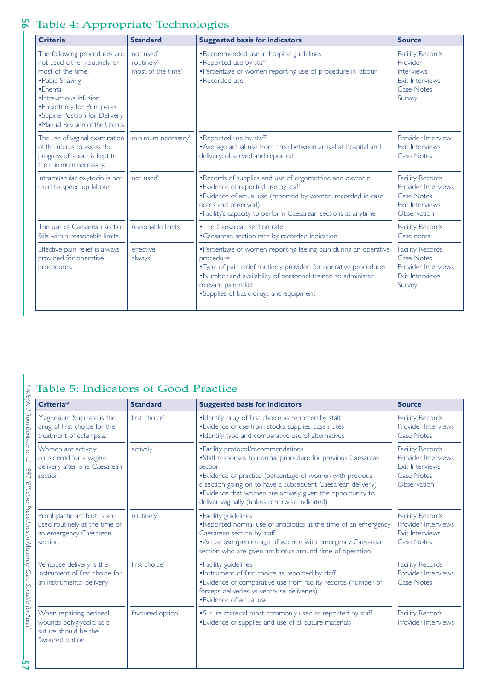# Table 4: Appropriate Technologies

| <b>Criteria</b>                                                                                                                                                                                                                                 | <b>Standard</b>                                 | <b>Suggested basis for indicators</b>                                                                                                                                                                                                                                               | <b>Source</b>                                                                                                |
|-------------------------------------------------------------------------------------------------------------------------------------------------------------------------------------------------------------------------------------------------|-------------------------------------------------|-------------------------------------------------------------------------------------------------------------------------------------------------------------------------------------------------------------------------------------------------------------------------------------|--------------------------------------------------------------------------------------------------------------|
| The following procedures are<br>not used either routinely, or<br>most of the time.<br>• Pubic Shaving<br>$•$ Enema<br>· Intravenous Infusion<br>• Episiotomy for Primiparas<br>• Supine Position for Delivery<br>•Manual Revision of the Uterus | 'not used'<br>'routinely'<br>'most of the time' | •Recommended use in hospital guidelines<br>•Reported use by staff<br>• Percentage of women reporting use of procedure in labour<br>•Recorded use                                                                                                                                    | <b>Facility Records</b><br>Provider<br>Interviews<br><b>Exit Interviews</b><br><b>Case Notes</b><br>Survey   |
| The use of vaginal examination<br>of the uterus to assess the<br>progress of labour is kept to<br>the minimum necessary.                                                                                                                        | 'minimum necessary'                             | •Reported use by staff<br>• Average actual use from time between arrival at hospital and<br>delivery: observed and reported                                                                                                                                                         | Provider Interview<br><b>Exit Interviews</b><br><b>Case Notes</b>                                            |
| Intramuscular oxytocin is not<br>used to speed up labour                                                                                                                                                                                        | 'not used'                                      | . Records of supplies and use of ergometrine and oxytocin<br>• Evidence of reported use by staff<br>• Evidence of actual use (reported by women, recorded in case<br>notes and observed)<br>• Facility's capacity to perform Caesarean sections at anytime                          | <b>Facility Records</b><br>Provider Interviews<br><b>Case Notes</b><br><b>Exit Interviews</b><br>Observation |
| The use of Caesarean section<br>falls within reasonable limits.                                                                                                                                                                                 | 'reasonable limits'                             | • The Caesarean section rate<br>• Caesarean section rate by recorded indication                                                                                                                                                                                                     | <b>Facility Records</b><br>Case notes                                                                        |
| Effective pain relief is always<br>provided for operative<br>procedures.                                                                                                                                                                        | 'effective'<br>'always'                         | •Percentage of women reporting feeling pain during an operative<br>procedure<br>. Type of pain relief routinely provided for operative procedures<br>.Number and availability of personnel trained to administer<br>relevant pain relief<br>• Supplies of basic drugs and equipment | <b>Facility Records</b><br>Case Notes<br>Provider Interviews<br><b>Exit Interviews</b><br>Survey             |

## Table 5: Indicators of Good Practice

| Criteria*                                                                                           | <b>Standard</b>   | <b>Suggested basis for indicators</b>                                                                                                                                                                                                                                                                                                                       | <b>Source</b>                                                                                                |
|-----------------------------------------------------------------------------------------------------|-------------------|-------------------------------------------------------------------------------------------------------------------------------------------------------------------------------------------------------------------------------------------------------------------------------------------------------------------------------------------------------------|--------------------------------------------------------------------------------------------------------------|
| Magnesium Sulphate is the<br>drug of first choice for the<br>treatment of eclampsia.                | 'first choice'    | . Identify drug of first choice as reported by staff<br>• Evidence of use from stocks, supplies, case notes<br>· Identify type and comparative use of alternatives                                                                                                                                                                                          | <b>Facility Records</b><br>Provider Interviews<br><b>Case Notes</b>                                          |
| Women are actively<br>considered for a vaginal<br>delivery after one Caesarean<br>section.          | 'actively'        | • Facility protocol/recommendations<br>• Staff responses to normal procedure for previous Caesarean<br>section<br>• Evidence of practice (percentage of women with previous<br>c-section going on to have a subsequent Caesarean delivery)<br>. Evidence that women are actively given the opportunity to<br>deliver vaginally (unless otherwise indicated) | <b>Facility Records</b><br>Provider Interviews<br><b>Exit Interviews</b><br><b>Case Notes</b><br>Observation |
| Prophylactic antibiotics are<br>used routinely at the time of<br>an emergency Caesarean<br>section. | 'routinely'       | • Facility guidelines<br>•Reported normal use of antibiotics at the time of an emergency<br>Caesarean section by staff<br>• Actual use (percentage of women with emergency Caesarean<br>section who are given antibiotics around time of operation                                                                                                          | <b>Facility Records</b><br>Provider Interviews<br><b>Exit Interviews</b><br><b>Case Notes</b>                |
| Ventouse delivery is the<br>instrument of first choice for<br>an instrumental delivery.             | 'first choice'    | • Facility guidelines<br>. Instrument of first choice as reported by staff<br>• Evidence of comparative use from facility records (number of<br>forceps deliveries vs ventouse deliveries)<br>• Evidence of actual use                                                                                                                                      | <b>Facility Records</b><br>Provider Interviews<br><b>Case Notes</b>                                          |
| When repairing perineal<br>wounds polyglycolic acid<br>suture should be the<br>favoured option      | 'favoured option' | • Suture material most commonly used as reported by staff<br>• Evidence of supplies and use of all suture materials                                                                                                                                                                                                                                         | <b>Facility Records</b><br>Provider Interviews                                                               |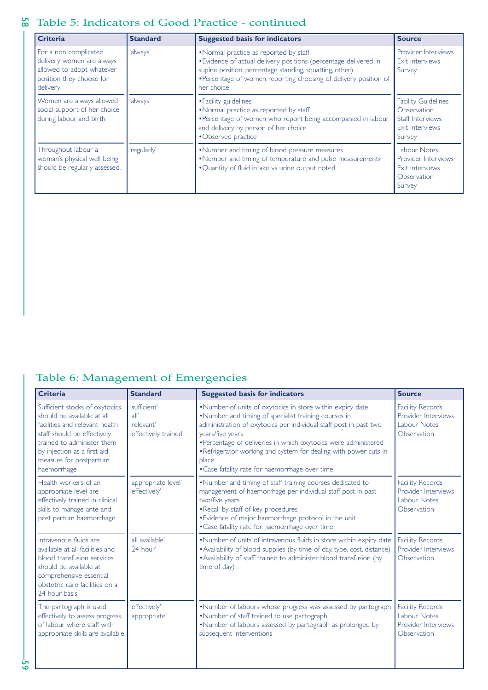### 58 Table 5: Indicators of Good Practice - continued

| <b>Criteria</b>                                                                                                          | <b>Standard</b> | <b>Suggested basis for indicators</b>                                                                                                                                                                                                                  | <b>Source</b>                                                                              |
|--------------------------------------------------------------------------------------------------------------------------|-----------------|--------------------------------------------------------------------------------------------------------------------------------------------------------------------------------------------------------------------------------------------------------|--------------------------------------------------------------------------------------------|
| For a non complicated<br>delivery women are always<br>allowed to adopt whatever<br>position they choose for<br>delivery. | 'always'        | •Normal practice as reported by staff<br>• Evidence of actual delivery positions (percentage delivered in<br>supine position, percentage standing, squatting, other)<br>• Percentage of women reporting choosing of delivery position of<br>her choice | <b>Provider Interviews</b><br>Exit Interviews<br>Survey                                    |
| Women are always allowed<br>social support of her choice<br>during labour and birth.                                     | 'always'        | • Facility guidelines<br>. Normal practice as reported by staff<br>•Percentage of women who report being accompanied in labour<br>and delivery by person of her choice<br>•Observed practice                                                           | <b>Facility Guidelines</b><br>Observation<br>Staff Interviews<br>Exit Interviews<br>Survey |
| Throughout labour a<br>woman's physical well being<br>should be regularly assessed.                                      | 'regularly'     | . Number and timing of blood pressure measures<br>•Number and timing of temperature and pulse measurements<br>. Quantity of fluid intake vs urine output noted                                                                                         | Labour Notes<br><b>Provider Interviews</b><br>Exit Interviews<br>Observation<br>Survey     |

# Table 6: Management of Emergencies

| <b>Criteria</b>                                                                                                                                                                                                                     | <b>Standard</b>                                              | <b>Suggested basis for indicators</b>                                                                                                                                                                                                                                                                                                                                                                          | <b>Source</b>                                                                        |
|-------------------------------------------------------------------------------------------------------------------------------------------------------------------------------------------------------------------------------------|--------------------------------------------------------------|----------------------------------------------------------------------------------------------------------------------------------------------------------------------------------------------------------------------------------------------------------------------------------------------------------------------------------------------------------------------------------------------------------------|--------------------------------------------------------------------------------------|
| Sufficient stocks of oxytocics<br>should be available at all<br>facilities and relevant health<br>staff should be effectively<br>trained to administer them<br>by injection as a first aid<br>measure for postpartum<br>haemorrhage | 'sufficient'<br>'all'<br>'relevant'<br>'effectively trained' | . Number of units of oxytocics in store within expiry date<br>. Number and timing of specialist training courses in<br>administration of oxytocics per individual staff post in past two<br>years/five years<br>• Percentage of deliveries in which oxytocics were administered<br>. Refrigerator working and system for dealing with power cuts in<br>place<br>• Case fatality rate for haemorrhage over time | <b>Facility Records</b><br>Provider Interviews<br>Labour Notes<br>Observation        |
| Health workers of an<br>appropriate level are<br>effectively trained in clinical<br>skills to manage ante and<br>post partum haemorrhage                                                                                            | 'appropriate level'<br>'effectively'                         | .Number and timing of staff training courses dedicated to<br>management of haemorrhage per individual staff post in past<br>two/five years<br>. Recall by staff of key procedures<br>• Evidence of major haemorrhage protocol in the unit<br>• Case fatality rate for haemorrhage over time                                                                                                                    | <b>Facility Records</b><br>Provider Interviews<br><b>Labour Notes</b><br>Observation |
| Intravenous fluids are<br>available at all facilities and<br>blood transfusion services<br>should be available at<br>comprehensive essential<br>obstetric care facilities on a<br>24 hour basis                                     | 'all available'<br>'24 hour'                                 | . Number of units of intravenous fluids in store within expiry date<br>• Availability of blood supplies (by time of day, type, cost, distance)<br>• Availability of staff trained to administer blood transfusion (by<br>time of day)                                                                                                                                                                          | <b>Facility Records</b><br>Provider Interviews<br>Observation                        |
| The partograph is used<br>effectively to assess progress<br>of labour where staff with<br>appropriate skills are available                                                                                                          | 'effectively'<br>'appropriate'                               | .Number of labours whose progress was assessed by partograph<br>•Number of staff trained to use partograph<br>.Number of labours assessed by partograph as prolonged by<br>subsequent interventions                                                                                                                                                                                                            | <b>Facility Records</b><br>Labour Notes<br>Provider Interviews<br>Observation        |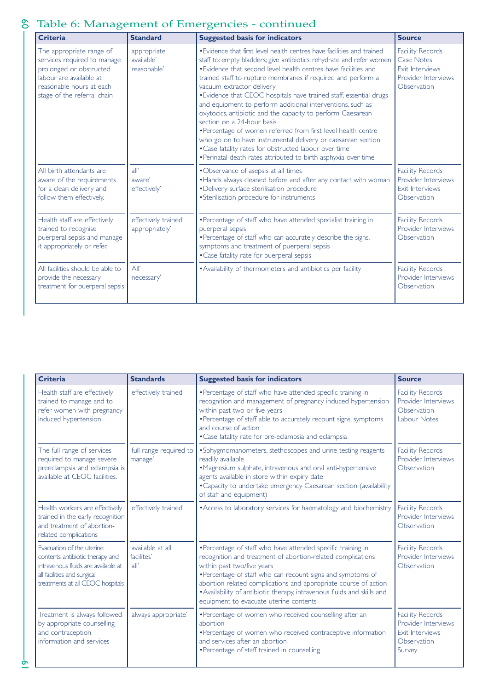# 61 60 Table 6: Management of Emergencies - continued

| <b>Criteria</b>                                                                                                                                                          | <b>Standard</b>                              | <b>Suggested basis for indicators</b>                                                                                                                                                                                                                                                                                                                                                                                                                                                                                                                                                                                                                                                                                                                                                                       | <b>Source</b>                                                                                         |
|--------------------------------------------------------------------------------------------------------------------------------------------------------------------------|----------------------------------------------|-------------------------------------------------------------------------------------------------------------------------------------------------------------------------------------------------------------------------------------------------------------------------------------------------------------------------------------------------------------------------------------------------------------------------------------------------------------------------------------------------------------------------------------------------------------------------------------------------------------------------------------------------------------------------------------------------------------------------------------------------------------------------------------------------------------|-------------------------------------------------------------------------------------------------------|
| The appropriate range of<br>services required to manage<br>prolonged or obstructed<br>labour are available at<br>reasonable hours at each<br>stage of the referral chain | 'appropriate'<br>'available'<br>'reasonable' | • Evidence that first level health centres have facilities and trained<br>staff to: empty bladders; give antibiotics; rehydrate and refer women<br>• Evidence that second level health centres have facilities and<br>trained staff to rupture membranes if required and perform a<br>vacuum extractor delivery<br>• Evidence that CEOC hospitals have trained staff, essential drugs<br>and equipment to perform additional interventions, such as<br>oxytocics, antibiotic and the capacity to perform Caesarean<br>section on a 24-hour basis<br>•Percentage of women referred from first level health centre<br>who go on to have instrumental delivery or caesarean section<br>. Case fatality rates for obstructed labour over time<br>. Perinatal death rates attributed to birth asphyxia over time | <b>Facility Records</b><br>Case Notes<br><b>Exit Interviews</b><br>Provider Interviews<br>Observation |
| All birth attendants are<br>aware of the requirements<br>for a clean delivery and<br>follow them effectively.                                                            | ʻall'<br>'aware'<br>'effectively'            | •Observance of asepsis at all times<br>. Hands always cleaned before and after any contact with woman<br>· Delivery surface sterilisation procedure<br>• Sterilisation procedure for instruments                                                                                                                                                                                                                                                                                                                                                                                                                                                                                                                                                                                                            | <b>Facility Records</b><br>Provider Interviews<br><b>Exit Interviews</b><br>Observation               |
| Health staff are effectively<br>trained to recognise<br>puerperal sepsis and manage<br>it appropriately or refer.                                                        | 'effectively trained'<br>'appropriately'     | • Percentage of staff who have attended specialist training in<br>puerperal sepsis<br>• Percentage of staff who can accurately describe the signs,<br>symptoms and treatment of puerperal sepsis<br>• Case fatality rate for puerperal sepsis                                                                                                                                                                                                                                                                                                                                                                                                                                                                                                                                                               | <b>Facility Records</b><br>Provider Interviews<br>Observation                                         |
| All facilities should be able to<br>provide the necessary<br>treatment for puerperal sepsis                                                                              | 'All'<br>'necessary'                         | • Availability of thermometers and antibiotics per facility                                                                                                                                                                                                                                                                                                                                                                                                                                                                                                                                                                                                                                                                                                                                                 | <b>Facility Records</b><br>Provider Interviews<br>Observation                                         |

| <b>Criteria</b>                                                                                                                                                         | <b>Standards</b>                         | <b>Suggested basis for indicators</b>                                                                                                                                                                                                                                                                                                                                                                            | <b>Source</b>                                                                                     |
|-------------------------------------------------------------------------------------------------------------------------------------------------------------------------|------------------------------------------|------------------------------------------------------------------------------------------------------------------------------------------------------------------------------------------------------------------------------------------------------------------------------------------------------------------------------------------------------------------------------------------------------------------|---------------------------------------------------------------------------------------------------|
| Health staff are effectively<br>trained to manage and to<br>refer women with pregnancy<br>induced hypertension                                                          | 'effectively trained'                    | • Percentage of staff who have attended specific training in<br>recognition and management of pregnancy induced hypertension<br>within past two or five years<br>• Percentage of staff able to accurately recount signs, symptoms<br>and course of action<br>• Case fatality rate for pre-eclampsia and eclampsia                                                                                                | <b>Facility Records</b><br>Provider Interviews<br>Observation<br>Labour Notes                     |
| The full range of services<br>required to manage severe<br>preeclampsia and eclampsia is<br>available at CEOC facilities.                                               | 'full range required to<br>manage'       | •Sphygmomanometers, stethoscopes and urine testing reagents<br>readily available<br>•Magnesium sulphate, intravenous and oral anti-hypertensive<br>agents available in store within expiry date<br>• Capacity to undertake emergency Caesarean section (availability<br>of staff and equipment)                                                                                                                  | <b>Facility Records</b><br>Provider Interviews<br>Observation                                     |
| Health workers are effectively<br>trained in the early recognition<br>and treatment of abortion-<br>related complications                                               | 'effectively trained'                    | • Access to laboratory services for haematology and biochemistry                                                                                                                                                                                                                                                                                                                                                 | <b>Facility Records</b><br>Provider Interviews<br>Observation                                     |
| Evacuation of the uterine<br>contents, antibiotic therapy and<br>intravenous fluids are available at<br>all facilities and surgical<br>treatments at all CEOC hospitals | 'available at all<br>facilites'<br>ʻall' | • Percentage of staff who have attended specific training in<br>recognition and treatment of abortion-related complications<br>within past two/five years<br>• Percentage of staff who can recount signs and symptoms of<br>abortion-related complications and appropriate course of action<br>. Availability of antibiotic therapy, intravenous fluids and skills and<br>equipment to evacuate uterine contents | <b>Facility Records</b><br>Provider Interviews<br>Observation                                     |
| Treatment is always followed<br>by appropriate counselling<br>and contraception<br>information and services                                                             | 'always appropriate'                     | • Percentage of women who received counselling after an<br>abortion<br>• Percentage of women who received contraceptive information<br>and services after an abortion<br>• Percentage of staff trained in counselling                                                                                                                                                                                            | <b>Facility Records</b><br>Provider Interviews<br><b>Exit Interviews</b><br>Observation<br>Survey |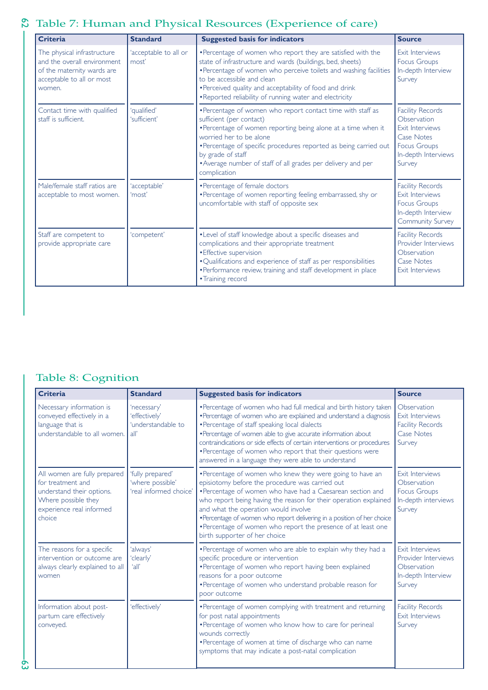# 63 62 Table 7: Human and Physical Resources (Experience of care)

| <b>Criteria</b>                                                                                                                  | <b>Standard</b>                | <b>Suggested basis for indicators</b>                                                                                                                                                                                                                                                                                                                       | <b>Source</b>                                                                                                                   |
|----------------------------------------------------------------------------------------------------------------------------------|--------------------------------|-------------------------------------------------------------------------------------------------------------------------------------------------------------------------------------------------------------------------------------------------------------------------------------------------------------------------------------------------------------|---------------------------------------------------------------------------------------------------------------------------------|
| The physical infrastructure<br>and the overall environment.<br>of the maternity wards are<br>acceptable to all or most<br>women. | 'acceptable to all or<br>most' | • Percentage of women who report they are satisfied with the<br>state of infrastructure and wards (buildings, bed, sheets)<br>• Percentage of women who perceive toilets and washing facilities<br>to be accessible and clean<br>. Perceived quality and acceptability of food and drink<br>•Reported reliability of running water and electricity          | <b>Exit Interviews</b><br><b>Focus Groups</b><br>In-depth Interview<br>Survey                                                   |
| Contact time with qualified<br>staff is sufficient.                                                                              | 'qualified'<br>'sufficient'    | •Percentage of women who report contact time with staff as<br>sufficient (per contact)<br>•Percentage of women reporting being alone at a time when it<br>worried her to be alone<br>• Percentage of specific procedures reported as being carried out<br>by grade of staff<br>• Average number of staff of all grades per delivery and per<br>complication | <b>Facility Records</b><br>Observation<br>Exit Interviews<br>Case Notes<br><b>Focus Groups</b><br>In-depth Interviews<br>Survey |
| Male/female staff ratios are<br>acceptable to most women.                                                                        | 'acceptable'<br>'most'         | • Percentage of female doctors<br>• Percentage of women reporting feeling embarrassed, shy or<br>uncomfortable with staff of opposite sex                                                                                                                                                                                                                   | <b>Facility Records</b><br><b>Exit Interviews</b><br><b>Focus Groups</b><br>In-depth Interview<br><b>Community Survey</b>       |
| Staff are competent to<br>provide appropriate care                                                                               | 'competent'                    | . Level of staff knowledge about a specific diseases and<br>complications and their appropriate treatment<br>• Effective supervision<br>. Qualifications and experience of staff as per responsibilities<br>• Performance review, training and staff development in place<br>• Training record                                                              | <b>Facility Records</b><br>Provider Interviews<br>Observation<br><b>Case Notes</b><br><b>Exit Interviews</b>                    |

## Table 8: Cognition

| <b>Criteria</b>                                                                                                                             | <b>Standard</b>                                                | <b>Suggested basis for indicators</b>                                                                                                                                                                                                                                                                                                                                                                                                                              | <b>Source</b>                                                                            |
|---------------------------------------------------------------------------------------------------------------------------------------------|----------------------------------------------------------------|--------------------------------------------------------------------------------------------------------------------------------------------------------------------------------------------------------------------------------------------------------------------------------------------------------------------------------------------------------------------------------------------------------------------------------------------------------------------|------------------------------------------------------------------------------------------|
| Necessary information is<br>conveyed effectively in a<br>language that is<br>understandable to all women.                                   | 'necessary'<br>'effectively'<br>'understandable to<br>all'     | •Percentage of women who had full medical and birth history taken<br>• Percentage of women who are explained and understand a diagnosis<br>• Percentage of staff speaking local dialects<br>• Percentage of women able to give accurate information about<br>contraindications or side effects of certain interventions or procedures<br>• Percentage of women who report that their questions were<br>answered in a language they were able to understand         | Observation<br>Exit Interviews<br><b>Facility Records</b><br><b>Case Notes</b><br>Survey |
| All women are fully prepared<br>for treatment and<br>understand their options.<br>Where possible they<br>experience real informed<br>choice | 'fully prepared'<br>'where possible'<br>'real informed choice' | • Percentage of women who knew they were going to have an<br>episiotomy before the procedure was carried out<br>• Percentage of women who have had a Caesarean section and<br>who report being having the reason for their operation explained<br>and what the operation would involve<br>•Percentage of women who report delivering in a position of her choice<br>• Percentage of women who report the presence of at least one<br>birth supporter of her choice | Exit Interviews<br>Observation<br><b>Focus Groups</b><br>In-depth interviews<br>Survey   |
| The reasons for a specific<br>intervention or outcome are<br>always clearly explained to all<br>women                                       | 'always'<br>'clearly'<br>'all'                                 | •Percentage of women who are able to explain why they had a<br>specific procedure or intervention<br>• Percentage of women who report having been explained<br>reasons for a poor outcome<br>• Percentage of women who understand probable reason for<br>poor outcome                                                                                                                                                                                              | Exit Interviews<br>Provider Interviews<br>Observation<br>In-depth Interview<br>Survey    |
| Information about post-<br>partum care effectively<br>conveyed.                                                                             | 'effectively'                                                  | • Percentage of women complying with treatment and returning<br>for post natal appointments<br>• Percentage of women who know how to care for perineal<br>wounds correctly<br>•Percentage of women at time of discharge who can name<br>symptoms that may indicate a post-natal complication                                                                                                                                                                       | <b>Facility Records</b><br>Exit Interviews<br>Survey                                     |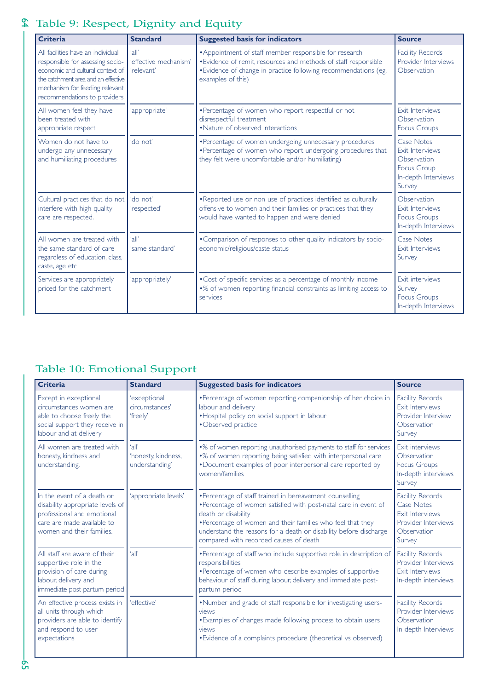# 65 64  $\$  Table 9: Respect, Dignity and Equity

| <b>Criteria</b>                                                                                                                                                                                                    | <b>Standard</b>                              | <b>Suggested basis for indicators</b>                                                                                                                                                                             | <b>Source</b>                                                                                              |
|--------------------------------------------------------------------------------------------------------------------------------------------------------------------------------------------------------------------|----------------------------------------------|-------------------------------------------------------------------------------------------------------------------------------------------------------------------------------------------------------------------|------------------------------------------------------------------------------------------------------------|
| All facilities have an individual<br>responsible for assessing socio-<br>economic and cultural context of<br>the catchment area and an effective<br>mechanism for feeding relevant<br>recommendations to providers | 'all'<br>'effective mechanism'<br>'relevant' | • Appointment of staff member responsible for research<br>• Evidence of remit, resources and methods of staff responsible<br>• Evidence of change in practice following recommendations (eg.<br>examples of this) | <b>Facility Records</b><br>Provider Interviews<br>Observation                                              |
| All women feel they have<br>been treated with<br>appropriate respect                                                                                                                                               | 'appropriate'                                | • Percentage of women who report respectful or not<br>disrespectful treatment<br>• Nature of observed interactions                                                                                                | <b>Exit Interviews</b><br>Observation<br><b>Focus Groups</b>                                               |
| Women do not have to<br>undergo any unnecessary<br>and humiliating procedures                                                                                                                                      | 'do not'                                     | • Percentage of women undergoing unnecessary procedures<br>• Percentage of women who report undergoing procedures that<br>they felt were uncomfortable and/or humiliating)                                        | <b>Case Notes</b><br>Exit Interviews<br>Observation<br><b>Focus Group</b><br>In-depth Interviews<br>Survey |
| Cultural practices that do not<br>interfere with high quality<br>care are respected.                                                                                                                               | 'do not'<br>'respected'                      | . Reported use or non use of practices identified as culturally<br>offensive to women and their families or practices that they<br>would have wanted to happen and were denied                                    | Observation<br><b>Exit Interviews</b><br><b>Focus Groups</b><br>In-depth Interviews                        |
| All women are treated with<br>the same standard of care<br>regardless of education, class,<br>caste, age etc                                                                                                       | ʻall'<br>'same standard'                     | • Comparison of responses to other quality indicators by socio-<br>economic/religious/caste status                                                                                                                | <b>Case Notes</b><br><b>Exit Interviews</b><br>Survey                                                      |
| Services are appropriately<br>priced for the catchment                                                                                                                                                             | 'appropriately'                              | • Cost of specific services as a percentage of monthly income<br>•% of women reporting financial constraints as limiting access to<br>services                                                                    | Exit interviews<br>Survey<br><b>Focus Groups</b><br>In-depth Interviews                                    |

# Table 10: Emotional Support

| <b>Criteria</b>                                                                                                                                         | <b>Standard</b>                                | <b>Suggested basis for indicators</b>                                                                                                                                                                                                                                                                                            | <b>Source</b>                                                                                                          |
|---------------------------------------------------------------------------------------------------------------------------------------------------------|------------------------------------------------|----------------------------------------------------------------------------------------------------------------------------------------------------------------------------------------------------------------------------------------------------------------------------------------------------------------------------------|------------------------------------------------------------------------------------------------------------------------|
| Except in exceptional<br>circumstances women are<br>able to choose freely the<br>social support they receive in<br>labour and at delivery               | 'exceptional<br>circumstances'<br>'freely'     | •Percentage of women reporting companionship of her choice in<br>labour and delivery<br>. Hospital policy on social support in labour<br>•Observed practice                                                                                                                                                                      | <b>Facility Records</b><br>Exit Interviews<br>Provider Interview<br>Observation<br>Survey                              |
| All women are treated with<br>honesty, kindness and<br>understanding.                                                                                   | 'all'<br>'honesty, kindness,<br>understanding' | •% of women reporting unauthorised payments to staff for services<br>•% of women reporting being satisfied with interpersonal care<br>•Document examples of poor interpersonal care reported by<br>women/families                                                                                                                | Exit interviews<br>Observation<br><b>Focus Groups</b><br>In-depth interviews<br>Survey                                 |
| In the event of a death or<br>disability appropriate levels of<br>professional and emotional<br>care are made available to<br>women and their families. | 'appropriate levels'                           | • Percentage of staff trained in bereavement counselling<br>•Percentage of women satisfied with post-natal care in event of<br>death or disability<br>• Percentage of women and their families who feel that they<br>understand the reasons for a death or disability before discharge<br>compared with recorded causes of death | <b>Facility Records</b><br><b>Case Notes</b><br><b>Exit Interviews</b><br>Provider Interviews<br>Observation<br>Survey |
| All staff are aware of their<br>supportive role in the<br>provision of care during<br>labour, delivery and<br>immediate post-partum period              | 'all'                                          | • Percentage of staff who include supportive role in description of<br>responsibilities<br>• Percentage of women who describe examples of supportive<br>behaviour of staff during labour, delivery and immediate post-<br>partum period                                                                                          | <b>Facility Records</b><br>Provider Interviews<br>Exit Interviews<br>In-depth interviews                               |
| An effective process exists in<br>all units through which<br>providers are able to identify<br>and respond to user<br>expectations                      | 'effective'                                    | . Number and grade of staff responsible for investigating users-<br>views<br>. Examples of changes made following process to obtain users<br>views<br>• Evidence of a complaints procedure (theoretical vs observed)                                                                                                             | <b>Facility Records</b><br>Provider Interviews<br>Observation<br>In-depth Interviews                                   |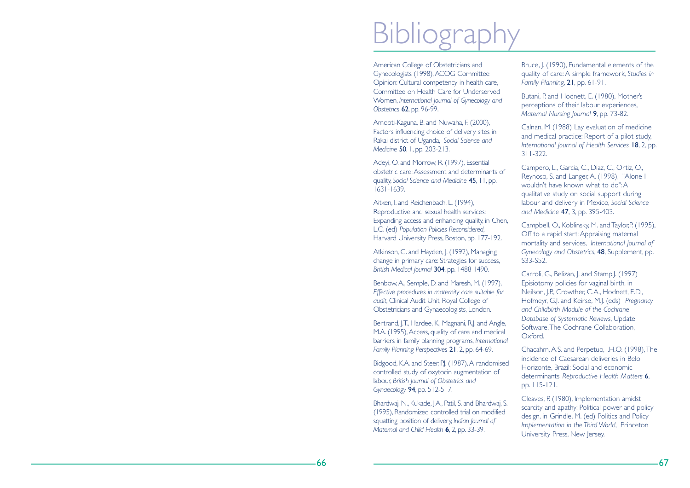# **Bibliogra**

American College of Obstetricians and Gynecologists (1998),ACOG Committee Opinion: Cultural competency in health care, Committee on Health Care for UnderservedWomen, *International Journal of Gynecology and Obstetrics* 62, pp. 96-99.

Amooti-Kaguna, B. and Nuwaha, F. (2000), Factors influencing choice of delivery sites in Rakai district of Uganda, *Social Science and Medicine* 50, 1, pp. 203-213.

Adeyi, O. and Morrow, R. (1997), Essential obstetric care:Assessment and determinants ofquality, *Social Science and Medicine* 45, 11, pp. 1631-1639.

Aitken, I. and Reichenbach, L. (1994), Reproductive and sexual health services: Expanding access and enhancing quality, in Chen, L.C. (ed) *Population Policies Reconsidered*, Harvard University Press, Boston, pp. 177-192.

Atkinson, C. and Hayden, J. (1992), Managing change in primary care: Strategies for success, *British Medical Journal* 304, pp. 1488-1490.

Benbow,A., Semple, D. and Maresh, M. (1997), *Effective procedures in maternity care suitable for audit*, Clinical Audit Unit, Royal College of Obstetricians and Gynaecologists, London.

Bertrand, J.T., Hardee, K., Magnani, R.J. and Angle, M.A. (1995), Access, quality of care and medical barriers in family planning programs, *International Family Planning Perspectives* 21, 2, pp. 64-69.

Bidgood, K.A. and Steer, P.J. (1987), A randomised controlled study of oxytocin augmentation of labour, *British Journal of Obstetrics and Gynaecology* 94, pp. 512-517.

Bhardwaj, N., Kukade, J.A., Patil, S. and Bhardwaj, S. (1995), Randomized controlled trial on modified squatting position of delivery, *Indian Journal of Maternal and Child Health* **6**, 2, pp. 33-39.

Bruce, J. (1990), Fundamental elements of the quality of care: A simple framework, *Studies in Family Planning*, 21, pp. 61-91.

Butani, P. and Hodnett, E. (1980), Mother's perceptions of their labour experiences, *Maternal Nursing Journal* 9, pp. 73-82.

Calnan, M (1988) Lay evaluation of medicine and medical practice: Report of a pilot study, *International Journal of Health Services* 18, 2, pp. 311-322.

Campero, L., Garcia, C., Diaz, C., Ortiz, O., Reynoso, S. and Langer, A. (1998), "Alone I wouldn't have known what to do": Aqualitative study on social support during labour and delivery in Mexico, *Social Science and Medicine* 47, 3, pp. 395-403.

Campbell, O., Koblinsky, M. and Taylor,P. (1995), Off to a rapid start: Appraising maternal mortality and services, *International Journal of Gynecology and Obstetrics*, 48, Supplement, pp. S33-S52.

Carroli, G., Belizan, J. and Stamp, J. (1997) Episiotomy policies for vaginal birth, in Neilson, J.P., Crowther, C.A., Hodnett, E.D., Hofmeyr, G.J. and Keirse, M.J. (eds) *Pregnancy and Childbirth Module of the Cochrane Database of Systematic Reviews*, Update Software,The Cochrane Collaboration, Oxford.

Chacahm, A.S. and Perpetuo, I.H.O. (1998),The incidence of Caesarean deliveries in BeloHorizonte, Brazil: Social and economic determinants, *Reproductive Health Matters* 6, pp. 115-121.

Cleaves, P. (1980), Implementation amidst scarcity and apathy: Political power and policy design, in Grindle, M. (ed) Politics and Policy *Implementation in the Third World*, Princeton University Press, New Jersey.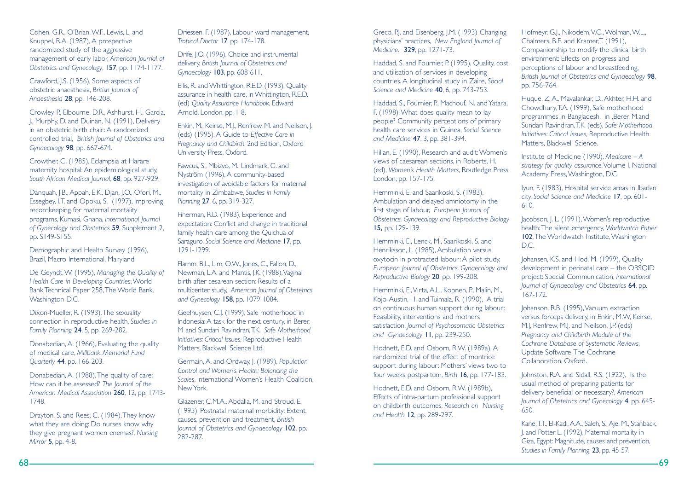Cohen, G.R., O'Brian,W.F., Lewis, L. and Knuppel, R.A. (1987), A prospective randomized study of the aggressive management of early labor, *American Journal of Obstetrics and Gynecology*, 157, pp. 1174-1177.

Crawford, J.S. (1956), Some aspects of obstetric anaesthesia, *British Journal of Anaesthesia* 28, pp. 146-208.

Crowley, P., Elbourne, D.R., Ashhurst, H., Garcia, J., Murphy, D. and Duinan, N. (1991), Delivery in an obstetric birth chair: A randomizedcontrolled trial, *British Journal of Obstetrics and Gynaecology* 98, pp. 667-674.

Crowther, C. (1985), Eclampsia at Harare maternity hospital: An epidemiological study, *South African Medical Journal*, 68, pp. 927-929.

Danquah, J.B., Appah, E.K., Djan, J.O., Ofori, M., Essegbey, I.T. and Opoku, S. (1997), Improving recordkeeping for maternal mortality programs, Kumasi, Ghana, *International Journal of Gynecology and Obstetrics* 59, Supplement 2, pp. S149-S155.

Demographic and Health Survey (1996), Brazil, Macro International, Maryland.

De Geyndt,W. (1995), *Managing the Quality of* **Health Care in Developing Countries, World** Bank Technical Paper 258,The World Bank, Washington D.C.

Dixon-Mueller, R. (1993),The sexuality connection in reproductive health, *Studies in Family Planning* 24, 5, pp. 269-282.

Donabedian, A. (1966), Evaluating the quality of medical care, *Millbank Memorial Fund Quarterly* 44, pp. 166-203.

Donabedian, A. (1988),The quality of care: How can it be assessed? *The Journal of the American Medical Association* 260, 12, pp. 1743- 1748.

Drayton, S. and Rees, C. (1984),They know what they are doing: Do nurses know why they give pregnant women enemas?, *Nursing Mirror* 5, pp. 4-8.

Driessen, F. (1987), Labour ward management, *Tropical Doctor* 17, pp. 174-178.

Drife, J.O. (1996), Choice and instrumental delivery, *British Journal of Obstetrics and Gynaecology* 103, pp. 608-611.

Ellis, R. and Whittington, R.E.D. (1993), Quality assurance in health care, in Whittington, R.E.D. (ed) *Quality Assurance Handbook*, Edward Arnold, London, pp. 1-8.

Enkin, M., Keirse, M.J., Renfrew, M. and Neilson, J. (eds) (1995), A Guide to *Effective Care in Pregnancy and Childbirth*, 2nd Edition, Oxford University Press, Oxford.

Fawcus, S., Mbizvo, M., Lindmark, G. and Nyström (1996), A community-based investigation of avoidable factors for maternal mortality in Zimbabwe, *Studies in Family Planning* 27, 6, pp. 319-327.

Finerman, R.D. (1983), Experience and expectation: Conflict and change in traditional family health care among the Quichua of Saraguro, *Social Science and Medicine* 17, pp. 1291-1299.

Flamm, B.L., Lim, O.W., Jones, C., Fallon, D., Newman, L.A. and Mantis, J.K. (1988),Vaginal birth after cesarean section: Results of amulticenter study, *American Journal of Obstetrics and Gynecology* 158, pp. 1079-1084.

Geefhuysen, C.J. (1999), Safe motherhood in Indonesia: A task for the next century, in Berer, M and Sundari Ravindran,T.K. *Safe Motherhood Initiatives: Critical Issues*, Reproductive Health Matters, Blackwell Science Ltd.

Germain, A. and Ordway, J. (1989), *Population Control and Women's Health: Balancing the Scales*, International Women's Health Coalition, New York.

Glazener, C.M.A., Abdalla, M. and Stroud, E. (1995), Postnatal maternal morbidity: Extent, causes, prevention and treatment, *British Journal of Obstetrics and Gynaecology* 102, pp. 282-287.

Greco, P.J. and Eisenberg, J.M. (1993) Changing physicians' practices, *New England Journal of Medicine.* 329, pp. 1271-73.

Haddad, S. and Fournier, P. (1995), Quality, cost and utilisation of services in developing countries. A longitudinal study in Zaire, *Social Science and Medicine* 40, 6, pp. 743-753.

Haddad, S., Fournier, P., Machouf, N. and Yatara, F. (1998),What does quality mean to lay people? Community perceptions of primary health care services in Guinea, *Social Science and Medicine* 47, 3, pp. 381-394.

Hillan, E. (1990), Research and audit:Women's views of caesarean sections, in Roberts, H. (ed), *Women's Health Matters*, Routledge Press, London, pp. 157-175.

Hemminki, E. and Saarikoski, S. (1983), Ambulation and delayed amniotomy in the first stage of labour, *European Journal of Obstetrics, Gynaecology and Reproductive Biology* 15, pp. 129-139.

Hemminki, E., Lenck, M., Saarikoski, S. and Henriksson, L. (1985), Ambulation versus oxytocin in protracted labour: A pilot study, *European Journal of Obstetrics, Gynaecology and Reproductive Biology* 20, pp. 199-208.

Hemminki, E.,Virta, A.L., Kopnen, P., Malin, M., Kojo-Austin, H. and Tuimala, R. (1990), A trial on continuous human support during labour: Feasibility, interventions and mothers satisfaction, *Journal of Psychosomatic Obstetrics and Gynaecology* 11, pp. 239-250.

Hodnett, E.D. and Osborn, R.W. (1989a), A randomized trial of the effect of montricesupport during labour: Mothers' views two to four weeks postpartum, *Birth* 16, pp. 177-183.

Hodnett, E.D. and Osborn, R.W. (1989b), Effects of intra-partum professional support on childbirth outcomes, *Research on Nursing and Health* 12, pp. 289-297.

Hofmeyr, G.J., Nikodem, V.C., Wolman, W.L., Chalmers, B.E. and Kramer, T. (1991). Companionship to modify the clinical birth environment: Effects on progress and perceptions of labour and breastfeeding, *British Journal of Obstetrics and Gynaecology* 98, pp. 756-764.

Huque, Z. A., Mavalankar, D., Akhter, H.H. and Chowdhury,T.A. (1999), Safe motherhood programmes in Bangladesh, in ,Berer, M.and Sundari Ravindran,T.K. (eds), *Safe Motherhood Initiatives: Critical Issues*, Reproductive Health Matters, Blackwell Science.

Institute of Medicine (1990), *Medicare – A strategy for quality assurance*,Volume I, National Academy Press,Washington, D.C.

Iyun, F. (1983), Hospital service areas in Ibadan city, *Social Science and Medicine* 17, pp. 601- 610.

Jacobson, J. L. (1991),Women's reproductive health:The silent emergency, *Worldwatch Paper* 102, The Worldwatch Institute, Washington D.C.

Johansen, K.S. and Hod, M. (1999), Quality development in perinatal care – the OBSQID project: Special Communication, *International Journal of Gynaecology and Obstetrics* 64, pp. 167-172.

Johanson, R.B. (1995), Vacuum extraction versus forceps delivery, in Enkin, M.W, Keirse, M.J, Renfrew, M.J. and Neilson, J.P. (eds) *Pregnancy and Childbirth Module of the Cochrane Database of Systematic Reviews*, Update Software,The Cochrane Collaboration, Oxford.

Johnston, R.A. and Sidall, R.S. (1922), Is the usual method of preparing patients for delivery beneficial or necessary?, *American Journal of Obstetrics and Gynecology* 4, pp. 645- 650.

Kane,T.T., El-Kadi,A.A., Saleh, S.,Aje, M., Stanback, J. and Potter, L. (1992), Maternal mortality in Giza, Egypt: Magnitude, causes and prevention, *Studies in Family Planning*, 23, pp. 45-57.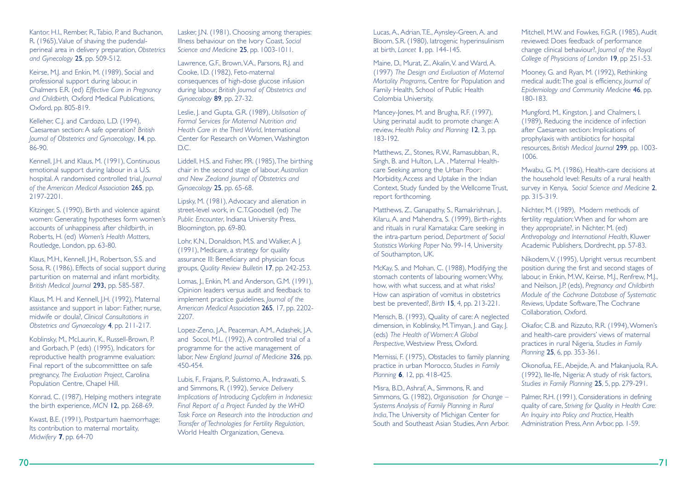Kantor, H.I., Rember, R.,Tabio, P. and Buchanon, R. (1965),Value of shaving the pudendalperineal area in delivery preparation, *Obstetrics and Gynecology* 25, pp. 509-512.

Keirse, M.J. and Enkin, M. (1989), Social and professional support during labour, in Chalmers E.R. (ed) *Effective Care in Pregnancy and Childbirth,* Oxford Medical Publications, Oxford, pp. 805-819.

Kelleher, C.J. and Cardozo, L.D. (1994), Caesarean section: A safe operation? *British Journal of Obstetrics and Gynaecology*, 14, pp. 86-90.

Kennell, J.H. and Klaus, M. (1991), Continuous emotional support during labour in a U.S. hospital. A randomised controlled trial, *Journal of the American Medical Association* 265, pp. 2197-2201.

Kitzinger, S. (1990), Birth and violence against women: Generating hypotheses form women's accounts of unhappiness after childbirth, in Roberts, H. (ed) *Women's Health Matters*, Routledge, London, pp. 63-80.

Klaus, M.H., Kennell, J.H., Robertson, S.S. and Sosa, R. (1986), Effects of social support during parturition on maternal and infant morbidity, *British Medical Journal* 293, pp. 585-587.

Klaus, M. H. and Kennell, J.H. (1992), Maternal assistance and support in labor: Father, nurse, midwife or doula?, *Clinical Consultations in Obstetrics and Gynaecology* 4, pp. 211-217.

Koblinsky, M., McLaurin, K., Russell-Brown, P. and Gorbach, P (eds) (1995), Indicators for reproductive health programme evaluation: Final report of the subcommitttee on safe pregnancy, *The Evaluation Project*, Carolina Population Centre, Chapel Hill.

Konrad, C. (1987), Helping mothers integrate the birth experience, *MCN* 12, pp. 268-69.

Kwast, B.E. (1991), Postpartum haemorrhage; Its contribution to maternal mortality, *Midwifery* **7**, pp. 64-70

Lasker, J.N. (1981), Choosing among therapies: Illness behaviour on the Ivory Coast, *Social Science and Medicine* 25, pp. 1003-1011.

Lawrence, G.F., Brown,V.A., Parsons, R.J. and Cooke, I.D. (1982), Feto-maternal consequences of high-dose glucose infusion during labour, *British Journal of Obstetrics and Gynaecology* 89, pp. 27-32.

Leslie, J. and Gupta, G.R. (1989), *Utilisation of Formal Services for Maternal Nutrition and Heath Care in the Third World*, International Center for Research on Women, Washington D.C.

Liddell, H.S. and Fisher, P.R. (1985),The birthing chair in the second stage of labour, *Australian and New Zealand Journal of Obstetrics and Gynaecology* 25, pp. 65-68.

Lipsky, M. (1981), Advocacy and alienation in street-level work, in C.T.Goodsell (ed) *The Public Encounter*, Indiana University Press, Bloomington, pp. 69-80.

Lohr, K.N., Donaldson, M.S. and Walker, A J. (1991), Medicare, a strategy for quality assurance III: Beneficiary and physician focus groups, *Quality Review Bulletin* 17, pp. 242-253.

Lomas, J., Enkin, M. and Anderson, G.M. (1991), Opinion leaders versus audit and feedback to implement practice guidelines, *Journal of the American Medical Association* 265, 17, pp. 2202- 2207.

Lopez-Zeno, J.A., Peaceman, A.M., Adashek, J.A. and Socol, M.L. (1992), A controlled trial of a programme for the active management of labor, *New England Journal of Medicine* 326, pp. 450-454.

Lubis, F., Frajans, P., Sulistomo, A., Indrawati, S. and Simmons, R. (1992), *Service Delivery Implications of Introducing Cyclofem in Indonesia: Final Report of a Project Funded by the WHO Task Force on Research into the Introduction andTransfer of Technologies for Fertility Regulation*, World Health Organization, Geneva.

Lucas, A., Adrian,T.E., Aynsley-Green, A. and Bloom, S.R. (1980), Iatrogenic hyperinsulinism at birth, *Lancet* 1, pp. 144-145.

Maine, D., Murat, Z., Akalin,V. and Ward, A. (1997) *The Design and Evaluation of Maternal Mortality Programs*, Centre for Population and Family Health, School of Public Health Colombia University.

Mancey-Jones, M. and Brugha, R.F. (1997), Using perinatal audit to promote change: A review, *Health Policy and Planning* 12, 3, pp. 183-192.

Matthews, Z., Stones, R.W., Ramasubban, R., Singh, B. and Hulton, L.A. , Maternal Healthcare Seeking among the Urban Poor: Morbidity, Access and Uptake in the Indian Context, Study funded by the Wellcome Trust, report forthcoming.

Matthews, Z., Ganapathy, S., Ramakrishnan, J., Kilaru, A. and Mahendra, S. (1999), Birth-rights and rituals in rural Karnataka: Care seeking in the intra-partum period, *Department of Social Statistics Working Paper* No. 99-14, University of Southampton, UK.

McKay, S. and Mohan, C. (1988), Modifying the stomach contents of labouring women:Why, how, with what success, and at what risks? How can aspiration of vomitus in obstetrics best be prevented?, *Birth* 15, 4, pp. 213-221.

Mensch, B. (1993), Quality of care: A neglected dimension, in Koblinsky, M.Timyan, J. and Gay, J. (eds) *The Health of Women: A Global* Perspective, Westview Press, Oxford.

Mernissi, F. (1975), Obstacles to family planning practice in urban Morocco, *Studies in Family Planning* **6**, 12, pp. 418-425.

Misra, B.D., Ashraf, A., Simmons, R. and Simmons, G. (1982), *Organisation for Change – Systems Analysis of Family Planning in Rural India*,The University of Michigan Center for South and Southeast Asian Studies, Ann Arbor.

Mitchell, M.W. and Fowkes, F.G.R. (1985), Audit reviewed: Does feedback of performance change clinical behaviour?, *Journal of the Royal College of Physicians of London* 19, pp 251-53.

Mooney, G. and Ryan, M. (1992), Rethinking medical audit:The goal is efficiency, *Journal of Epidemiology and Community Medicine* 46, pp. 180-183.

Mungford, M., Kingston, J. and Chalmers, I. (1989), Reducing the incidence of infection after Caesarean section: Implications of prophylaxis with antibiotics for hospital resources, *British Medical Journal* 299, pp. 1003- 1006.

Mwabu, G. M. (1986), Health-care decisions at the household level: Results of a rural healthsurvey in Kenya, *Social Science and Medicine* 2, pp. 315-319.

Nichter, M. (1989), Modern methods of fertility regulation:When and for whom are they appropriate?, in Nichter, M. (ed) *Anthropology and International Health*, Kluwer Academic Publishers, Dordrecht, pp. 57-83.

Nikodem,V. (1995), Upright versus recumbent position during the first and second stages of labour, in Enkin, M.W., Keirse, M.J., Renfrew, M.J., and Neilson, J.P. (eds), *Pregnancy and Childbirth Module of the Cochrane Database of Systematic Reviews*, Update Software,The Cochrane Collaboration, Oxford.

Okafor, C.B. and Rizzuto, R.R. (1994),Women's and health-care providers' views of maternal practices in rural Nigeria, *Studies in Family Planning* 25, 6, pp. 353-361.

Okonofua, F.E., Abejide, A. and Makanjuola, R.A. (1992), Ile-Ife, Nigeria: A study of risk factors, *Studies in Family Planning* 25, 5, pp. 279-291.

Palmer, R.H. (1991), Considerations in defining quality of care, *Striving for Quality in Health Care: An Inquiry into Policy and Practice*, Health Administration Press, Ann Arbor, pp. 1-59.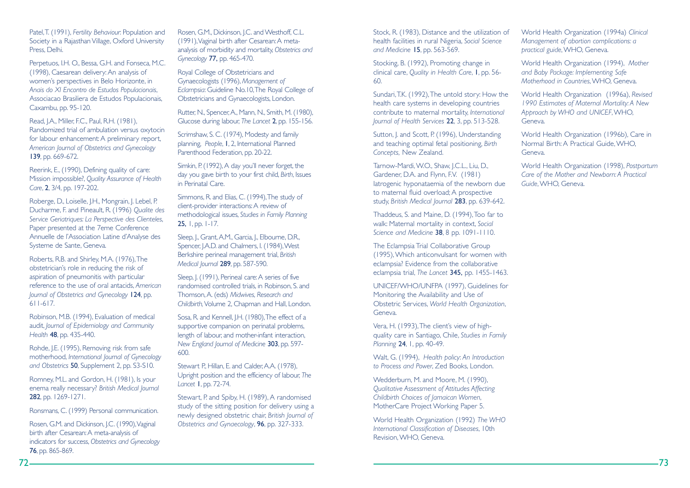Patel,T. (1991), *Fertility Behaviour*: Population and Society in a Rajasthan Village, Oxford University Press, Delhi.

Perpetuos, I.H. O., Bessa, G.H. and Fonseca, M.C. (1998), Caesarean delivery: An analysis of women's perspectives in Belo Horizonte, in *Anais do XI Encontro de Estudos Populacionais*, Associacao Brasiliera de Estudos Populacionais, Caxambu, pp. 95-120.

Read, J.A., Miller, F.C., Paul, R.H. (1981), Randomized trial of ambulation versus oxytocin for labour enhancement: A preliminary report, *American Journal of Obstetrics and Gynecology* 139, pp. 669-672.

Reerink, E., (1990), Defining quality of care: Mission impossible?, *Quality Assurance of Health Care*, 2, 3/4, pp. 197-202.

Roberge, D., Loiselle, J.H., Mongrain, J. Lebel, P. Ducharme, F. and Pineault, R. (1996) *Qualite des Service Geriatriques: La Perspective des Clienteles*, Paper presented at the 7eme Conference Annuelle de l'Association Latine d'Analyse des Systeme de Sante, Geneva.

Roberts, R.B. and Shirley, M.A. (1976),The obstetrician's role in reducing the risk of aspiration of pneumonitis with particular reference to the use of oral antacids, *American Journal of Obstetrics and Gynecology* 124, pp. 611-617.

Robinson, M.B. (1994), Evaluation of medical audit, *Journal of Epidemiology and Community Health* 48, pp. 435-440.

Rohde, J.E. (1995), Removing risk from safe motherhood, *International Journal of Gynecology and Obstetrics* 50, Supplement 2, pp. S3-S10.

Romney, M.L. and Gordon, H. (1981), Is your enema really necessary? *British Medical Journal* 282, pp. 1269-1271.

Ronsmans, C. (1999) Personal communication.

Rosen, G.M. and Dickinson, J.C. (1990),Vaginal birth after Cesarean:A meta-analysis of indicators for success, *Obstetrics and Gynecology* 76, pp. 865-869.

Rosen, G.M., Dickinson, J.C. and Westhoff, C.L. (1991),Vaginal birth after Cesarean:A metaanalysis of morbidity and mortality, *Obstetrics and Gynecology* 77, pp. 465-470.

Royal College of Obstetricians and Gynaecologists (1996), *Management of Eclampsia*: Guideline No.10,The Royal College of Obstetricians and Gynaecologists, London.

Rutter, N., Spencer,A., Mann, N., Smith, M. (1980), Glucose during labour, *The Lancet* 2, pp. 155-156.

Scrimshaw, S. C. (1974), Modesty and family planning, *People*, 1, 2, International Planned Parenthood Federation, pp. 20-22.

Simkin, P. (1992), A day you'll never forget, the day you gave birth to your first child, *Birth*, Issues in Perinatal Care.

Simmons, R. and Elias, C. (1994),The study of client-provider interactions:A review of methodological issues, *Studies in Family Planning* 25, 1, pp. 1-17.

Sleep, J., Grant, A.M., Garcia, J., Elbourne, D.R., Spencer, J.A.D. and Chalmers, I. (1984), West Berkshire perineal management trial, *British Medical Journal* 289, pp. 587-590.

Sleep, J. (1991), Perineal care: A series of five randomised controlled trials, in Robinson, S. and Thomson,A. (eds) *Midwives, Research and Childbirth,*Volume 2, Chapman and Hall, London.

Sosa, R. and Kennell, J.H. (1980), The effect of a supportive companion on perinatal problems, length of labour, and mother-infant interaction, *New England Journal of Medicine* 303, pp. 597- 600.

Stewart P., Hillan, E. and Calder, A.A. (1978), Upright position and the efficiency of labour, *The Lancet* 1, pp. 72-74.

Stewart, P. and Spiby, H. (1989), A randomised study of the sitting position for delivery using a newly designed obstetric chair, *British Journal of Obstetrics and Gynaecology*, 96, pp. 327-333.

Stock, R. (1983), Distance and the utilization of health facilities in rural Nigeria, *Social Science and Medicine* 15, pp. 563-569.

Stocking, B. (1992), Promoting change in clinical care, *Quality in Health Care*, 1, pp. 56- 60.

Sundari,T.K. (1992),The untold story: How the health care systems in developing countries contribute to maternal mortality, *International Journal of Health Services* 22, 3, pp. 513-528.

Sutton, J. and Scott, P. (1996), Understanding and teaching optimal fetal positioning, *Birth Concepts,* New Zealand.

Tarnow-Mardi,W.O., Shaw, J.C.L., Liu, D., Gardener, D.A. and Flynn, F.V. (1981) Iatrogenic hyponataemia of the newborn due to maternal fluid overload; A prospective study, *British Medical Journal* 283, pp. 639-642.

Thaddeus, S. and Maine, D. (1994),Too far to walk: Maternal mortality in context, *Social Science and Medicine* 38, 8 pp. 1091-1110.

The Eclampsia Trial Collaborative Group (1995),Which anticonvulsant for women with eclampsia? Evidence from the collaborative eclampsia trial, *The Lancet* 345, pp. 1455-1463.

UNICEF/WHO/UNFPA (1997), Guidelines for Monitoring the Availability and Use of Obstetric Services, *World Health Organization*, Geneva.

Vera, H. (1993),The client's view of highquality care in Santiago, Chile, *Studies in Family Planning* 24, 1, pp. 40-49.

Walt, G. (1994), *Health policy*: *An Introduction to Process and Power*, Zed Books, London.

Wedderburn, M. and Moore, M. (1990), *Qualitative Assessment of Attitudes Affecting Childbirth Choices of Jamaican Women*, MotherCare Project Working Paper 5.

World Health Organization (1992) *The WHO International Classification of Diseases*, 10th Revision,WHO, Geneva.

World Health Organization (1994a) *Clinical Management of abortion complications: <sup>a</sup> practical guide*,WHO, Geneva.

World Health Organization (1994), *Mother and Baby Package: Implementing Safe Motherhood in Countries*,WHO, Geneva.

World Health Organization (1996a), *Revised 1990 Estimates of Maternal Mortality: A New Approach by WHO and UNICEF*,WHO, Geneva.

World Health Organization (1996b), Care in Normal Birth: A Practical Guide,WHO, Geneva.

World Health Organization (1998), *Postpartum Care of the Mother and Newborn: A Practical Guide*,WHO, Geneva.